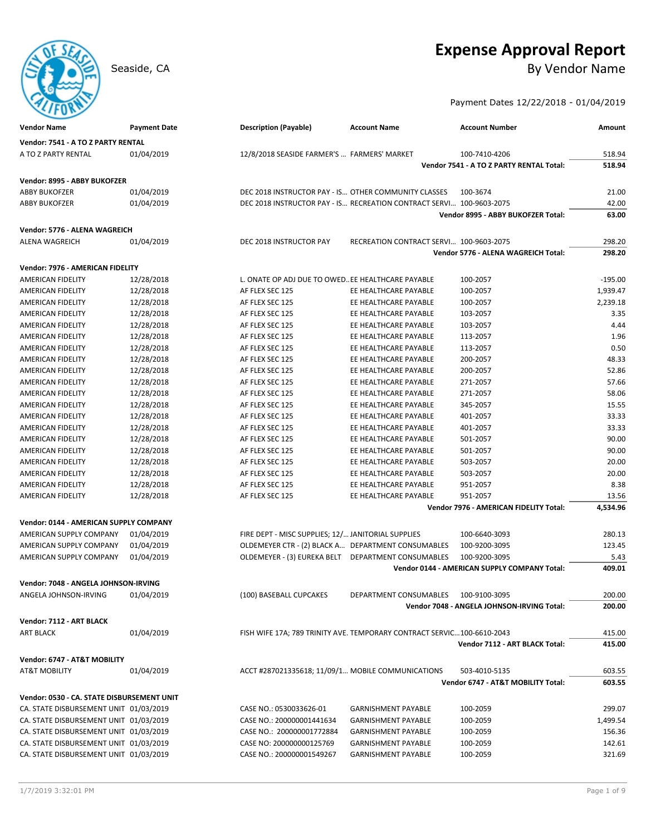# **Expense Approval Report**

Seaside, CA By Vendor Name

Payment Dates 12/22/2018 - 01/04/2019

| <b>Vendor Name</b>                         | <b>Payment Date</b> | <b>Description (Payable)</b>                         | <b>Account Name</b>                                                     | <b>Account Number</b>                        | Amount           |
|--------------------------------------------|---------------------|------------------------------------------------------|-------------------------------------------------------------------------|----------------------------------------------|------------------|
| Vendor: 7541 - A TO Z PARTY RENTAL         |                     |                                                      |                                                                         |                                              |                  |
| A TO Z PARTY RENTAL                        | 01/04/2019          | 12/8/2018 SEASIDE FARMER'S  FARMERS' MARKET          |                                                                         | 100-7410-4206                                | 518.94           |
|                                            |                     |                                                      |                                                                         | Vendor 7541 - A TO Z PARTY RENTAL Total:     | 518.94           |
| Vendor: 8995 - ABBY BUKOFZER               |                     |                                                      |                                                                         |                                              |                  |
| <b>ABBY BUKOFZER</b>                       | 01/04/2019          | DEC 2018 INSTRUCTOR PAY - IS OTHER COMMUNITY CLASSES |                                                                         | 100-3674                                     | 21.00            |
| <b>ABBY BUKOFZER</b>                       | 01/04/2019          |                                                      | DEC 2018 INSTRUCTOR PAY - IS RECREATION CONTRACT SERVI 100-9603-2075    |                                              | 42.00            |
|                                            |                     |                                                      |                                                                         | Vendor 8995 - ABBY BUKOFZER Total:           | 63.00            |
|                                            |                     |                                                      |                                                                         |                                              |                  |
| Vendor: 5776 - ALENA WAGREICH              |                     |                                                      | RECREATION CONTRACT SERVI 100-9603-2075                                 |                                              |                  |
| <b>ALENA WAGREICH</b>                      | 01/04/2019          | DEC 2018 INSTRUCTOR PAY                              |                                                                         | Vendor 5776 - ALENA WAGREICH Total:          | 298.20<br>298.20 |
|                                            |                     |                                                      |                                                                         |                                              |                  |
| Vendor: 7976 - AMERICAN FIDELITY           |                     |                                                      |                                                                         |                                              |                  |
| <b>AMERICAN FIDELITY</b>                   | 12/28/2018          | L. ONATE OP ADJ DUE TO OWED EE HEALTHCARE PAYABLE    |                                                                         | 100-2057                                     | $-195.00$        |
| AMERICAN FIDELITY                          | 12/28/2018          | AF FLEX SEC 125                                      | EE HEALTHCARE PAYABLE                                                   | 100-2057                                     | 1,939.47         |
| AMERICAN FIDELITY                          | 12/28/2018          | AF FLEX SEC 125                                      | EE HEALTHCARE PAYABLE                                                   | 100-2057                                     | 2,239.18         |
| AMERICAN FIDELITY                          | 12/28/2018          | AF FLEX SEC 125                                      | EE HEALTHCARE PAYABLE                                                   | 103-2057                                     | 3.35             |
| AMERICAN FIDELITY                          | 12/28/2018          | AF FLEX SEC 125                                      | EE HEALTHCARE PAYABLE                                                   | 103-2057                                     | 4.44             |
| AMERICAN FIDELITY                          | 12/28/2018          | AF FLEX SEC 125                                      | EE HEALTHCARE PAYABLE                                                   | 113-2057                                     | 1.96             |
| AMERICAN FIDELITY                          | 12/28/2018          | AF FLEX SEC 125                                      | EE HEALTHCARE PAYABLE                                                   | 113-2057                                     | 0.50             |
| AMERICAN FIDELITY                          | 12/28/2018          | AF FLEX SEC 125                                      | EE HEALTHCARE PAYABLE                                                   | 200-2057                                     | 48.33            |
| AMERICAN FIDELITY                          | 12/28/2018          | AF FLEX SEC 125                                      | EE HEALTHCARE PAYABLE                                                   | 200-2057                                     | 52.86            |
| <b>AMERICAN FIDELITY</b>                   | 12/28/2018          | AF FLEX SEC 125                                      | EE HEALTHCARE PAYABLE                                                   | 271-2057                                     | 57.66            |
| AMERICAN FIDELITY                          | 12/28/2018          | AF FLEX SEC 125                                      | EE HEALTHCARE PAYABLE                                                   | 271-2057                                     | 58.06            |
| AMERICAN FIDELITY                          | 12/28/2018          | AF FLEX SEC 125                                      | EE HEALTHCARE PAYABLE                                                   | 345-2057                                     | 15.55            |
| AMERICAN FIDELITY                          | 12/28/2018          | AF FLEX SEC 125                                      | EE HEALTHCARE PAYABLE                                                   | 401-2057                                     | 33.33            |
| <b>AMERICAN FIDELITY</b>                   | 12/28/2018          | AF FLEX SEC 125                                      | EE HEALTHCARE PAYABLE                                                   | 401-2057                                     | 33.33            |
| <b>AMERICAN FIDELITY</b>                   | 12/28/2018          | AF FLEX SEC 125                                      | EE HEALTHCARE PAYABLE                                                   | 501-2057                                     | 90.00            |
| AMERICAN FIDELITY                          | 12/28/2018          | AF FLEX SEC 125                                      | EE HEALTHCARE PAYABLE                                                   | 501-2057                                     | 90.00            |
| AMERICAN FIDELITY                          | 12/28/2018          | AF FLEX SEC 125                                      | EE HEALTHCARE PAYABLE                                                   | 503-2057                                     | 20.00            |
| AMERICAN FIDELITY                          | 12/28/2018          | AF FLEX SEC 125                                      | EE HEALTHCARE PAYABLE                                                   | 503-2057                                     | 20.00            |
| AMERICAN FIDELITY                          | 12/28/2018          | AF FLEX SEC 125                                      | EE HEALTHCARE PAYABLE                                                   | 951-2057                                     | 8.38             |
| <b>AMERICAN FIDELITY</b>                   | 12/28/2018          | AF FLEX SEC 125                                      | EE HEALTHCARE PAYABLE                                                   | 951-2057                                     | 13.56            |
|                                            |                     |                                                      |                                                                         | Vendor 7976 - AMERICAN FIDELITY Total:       | 4,534.96         |
|                                            |                     |                                                      |                                                                         |                                              |                  |
| Vendor: 0144 - AMERICAN SUPPLY COMPANY     |                     |                                                      |                                                                         |                                              |                  |
| AMERICAN SUPPLY COMPANY                    | 01/04/2019          | FIRE DEPT - MISC SUPPLIES; 12/ JANITORIAL SUPPLIES   |                                                                         | 100-6640-3093                                | 280.13           |
| AMERICAN SUPPLY COMPANY                    | 01/04/2019          | OLDEMEYER CTR - (2) BLACK A DEPARTMENT CONSUMABLES   |                                                                         | 100-9200-3095                                | 123.45           |
| AMERICAN SUPPLY COMPANY                    | 01/04/2019          |                                                      | OLDEMEYER - (3) EUREKA BELT DEPARTMENT CONSUMABLES                      | 100-9200-3095                                | 5.43             |
|                                            |                     |                                                      |                                                                         | Vendor 0144 - AMERICAN SUPPLY COMPANY Total: | 409.01           |
| Vendor: 7048 - ANGELA JOHNSON-IRVING       |                     |                                                      |                                                                         |                                              |                  |
| ANGELA JOHNSON-IRVING                      | 01/04/2019          | (100) BASEBALL CUPCAKES                              | DEPARTMENT CONSUMABLES                                                  | 100-9100-3095                                | 200.00           |
|                                            |                     |                                                      |                                                                         | Vendor 7048 - ANGELA JOHNSON-IRVING Total:   | 200.00           |
| Vendor: 7112 - ART BLACK                   |                     |                                                      |                                                                         |                                              |                  |
| <b>ART BLACK</b>                           | 01/04/2019          |                                                      | FISH WIFE 17A; 789 TRINITY AVE. TEMPORARY CONTRACT SERVIC 100-6610-2043 |                                              | 415.00           |
|                                            |                     |                                                      |                                                                         | Vendor 7112 - ART BLACK Total:               | 415.00           |
| Vendor: 6747 - AT&T MOBILITY               |                     |                                                      |                                                                         |                                              |                  |
| AT&T MOBILITY                              | 01/04/2019          | ACCT #287021335618; 11/09/1 MOBILE COMMUNICATIONS    |                                                                         | 503-4010-5135                                | 603.55           |
|                                            |                     |                                                      |                                                                         | Vendor 6747 - AT&T MOBILITY Total:           | 603.55           |
|                                            |                     |                                                      |                                                                         |                                              |                  |
| Vendor: 0530 - CA. STATE DISBURSEMENT UNIT |                     |                                                      |                                                                         |                                              |                  |
| CA. STATE DISBURSEMENT UNIT 01/03/2019     |                     | CASE NO.: 0530033626-01                              | <b>GARNISHMENT PAYABLE</b>                                              | 100-2059                                     | 299.07           |
| CA. STATE DISBURSEMENT UNIT 01/03/2019     |                     | CASE NO.: 200000001441634                            | <b>GARNISHMENT PAYABLE</b>                                              | 100-2059                                     | 1,499.54         |
| CA. STATE DISBURSEMENT UNIT 01/03/2019     |                     | CASE NO.: 200000001772884                            | <b>GARNISHMENT PAYABLE</b>                                              | 100-2059                                     | 156.36           |
| CA. STATE DISBURSEMENT UNIT 01/03/2019     |                     | CASE NO: 200000000125769                             | <b>GARNISHMENT PAYABLE</b>                                              | 100-2059                                     | 142.61           |
| CA. STATE DISBURSEMENT UNIT 01/03/2019     |                     | CASE NO.: 200000001549267                            | <b>GARNISHMENT PAYABLE</b>                                              | 100-2059                                     | 321.69           |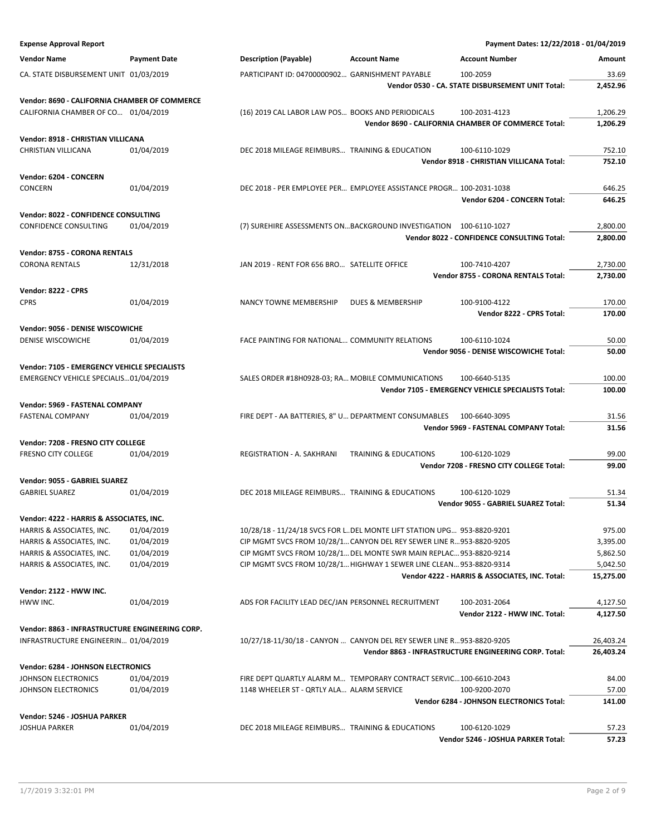| <b>Expense Approval Report</b>                                   |                          |                                                       |                                                                                                                                           | Payment Dates: 12/22/2018 - 01/04/2019                 |                      |
|------------------------------------------------------------------|--------------------------|-------------------------------------------------------|-------------------------------------------------------------------------------------------------------------------------------------------|--------------------------------------------------------|----------------------|
| <b>Vendor Name</b>                                               | <b>Payment Date</b>      | <b>Description (Payable)</b>                          | <b>Account Name</b>                                                                                                                       | <b>Account Number</b>                                  | Amount               |
| CA. STATE DISBURSEMENT UNIT 01/03/2019                           |                          | PARTICIPANT ID: 04700000902 GARNISHMENT PAYABLE       |                                                                                                                                           | 100-2059                                               | 33.69                |
|                                                                  |                          |                                                       |                                                                                                                                           | Vendor 0530 - CA. STATE DISBURSEMENT UNIT Total:       | 2,452.96             |
| Vendor: 8690 - CALIFORNIA CHAMBER OF COMMERCE                    |                          |                                                       |                                                                                                                                           |                                                        |                      |
| CALIFORNIA CHAMBER OF CO 01/04/2019                              |                          | (16) 2019 CAL LABOR LAW POS BOOKS AND PERIODICALS     |                                                                                                                                           | 100-2031-4123                                          | 1,206.29             |
|                                                                  |                          |                                                       |                                                                                                                                           | Vendor 8690 - CALIFORNIA CHAMBER OF COMMERCE Total:    | 1,206.29             |
| Vendor: 8918 - CHRISTIAN VILLICANA                               |                          |                                                       |                                                                                                                                           |                                                        |                      |
| CHRISTIAN VILLICANA                                              | 01/04/2019               | DEC 2018 MILEAGE REIMBURS TRAINING & EDUCATION        |                                                                                                                                           | 100-6110-1029                                          | 752.10               |
|                                                                  |                          |                                                       |                                                                                                                                           | Vendor 8918 - CHRISTIAN VILLICANA Total:               | 752.10               |
| Vendor: 6204 - CONCERN                                           |                          |                                                       |                                                                                                                                           |                                                        |                      |
| CONCERN                                                          | 01/04/2019               |                                                       | DEC 2018 - PER EMPLOYEE PER EMPLOYEE ASSISTANCE PROGR 100-2031-1038                                                                       | Vendor 6204 - CONCERN Total:                           | 646.25<br>646.25     |
|                                                                  |                          |                                                       |                                                                                                                                           |                                                        |                      |
| Vendor: 8022 - CONFIDENCE CONSULTING<br>CONFIDENCE CONSULTING    | 01/04/2019               |                                                       | (7) SUREHIRE ASSESSMENTS ONBACKGROUND INVESTIGATION 100-6110-1027                                                                         |                                                        | 2,800.00             |
|                                                                  |                          |                                                       |                                                                                                                                           | Vendor 8022 - CONFIDENCE CONSULTING Total:             | 2,800.00             |
| Vendor: 8755 - CORONA RENTALS                                    |                          |                                                       |                                                                                                                                           |                                                        |                      |
| <b>CORONA RENTALS</b>                                            | 12/31/2018               | JAN 2019 - RENT FOR 656 BRO SATELLITE OFFICE          |                                                                                                                                           | 100-7410-4207                                          | 2,730.00             |
|                                                                  |                          |                                                       |                                                                                                                                           | Vendor 8755 - CORONA RENTALS Total:                    | 2,730.00             |
| Vendor: 8222 - CPRS                                              |                          |                                                       |                                                                                                                                           |                                                        |                      |
| <b>CPRS</b>                                                      | 01/04/2019               | NANCY TOWNE MEMBERSHIP                                | DUES & MEMBERSHIP                                                                                                                         | 100-9100-4122                                          | 170.00               |
|                                                                  |                          |                                                       |                                                                                                                                           | Vendor 8222 - CPRS Total:                              | 170.00               |
| Vendor: 9056 - DENISE WISCOWICHE                                 |                          |                                                       |                                                                                                                                           |                                                        |                      |
| <b>DENISE WISCOWICHE</b>                                         | 01/04/2019               | FACE PAINTING FOR NATIONAL COMMUNITY RELATIONS        |                                                                                                                                           | 100-6110-1024                                          | 50.00                |
|                                                                  |                          |                                                       |                                                                                                                                           | Vendor 9056 - DENISE WISCOWICHE Total:                 | 50.00                |
| Vendor: 7105 - EMERGENCY VEHICLE SPECIALISTS                     |                          |                                                       |                                                                                                                                           |                                                        |                      |
| EMERGENCY VEHICLE SPECIALIS01/04/2019                            |                          | SALES ORDER #18H0928-03; RA MOBILE COMMUNICATIONS     |                                                                                                                                           | 100-6640-5135                                          | 100.00               |
|                                                                  |                          |                                                       |                                                                                                                                           | Vendor 7105 - EMERGENCY VEHICLE SPECIALISTS Total:     | 100.00               |
| Vendor: 5969 - FASTENAL COMPANY                                  |                          |                                                       |                                                                                                                                           |                                                        |                      |
| FASTENAL COMPANY                                                 | 01/04/2019               | FIRE DEPT - AA BATTERIES, 8" U DEPARTMENT CONSUMABLES |                                                                                                                                           | 100-6640-3095<br>Vendor 5969 - FASTENAL COMPANY Total: | 31.56<br>31.56       |
|                                                                  |                          |                                                       |                                                                                                                                           |                                                        |                      |
| Vendor: 7208 - FRESNO CITY COLLEGE<br><b>FRESNO CITY COLLEGE</b> | 01/04/2019               | REGISTRATION - A. SAKHRANI                            | <b>TRAINING &amp; EDUCATIONS</b>                                                                                                          | 100-6120-1029                                          | 99.00                |
|                                                                  |                          |                                                       |                                                                                                                                           | Vendor 7208 - FRESNO CITY COLLEGE Total:               | 99.00                |
| Vendor: 9055 - GABRIEL SUAREZ                                    |                          |                                                       |                                                                                                                                           |                                                        |                      |
| <b>GABRIEL SUAREZ</b>                                            | 01/04/2019               | DEC 2018 MILEAGE REIMBURS TRAINING & EDUCATIONS       |                                                                                                                                           | 100-6120-1029                                          | 51.34                |
|                                                                  |                          |                                                       |                                                                                                                                           | Vendor 9055 - GABRIEL SUAREZ Total:                    | 51.34                |
| Vendor: 4222 - HARRIS & ASSOCIATES, INC.                         |                          |                                                       |                                                                                                                                           |                                                        |                      |
| HARRIS & ASSOCIATES, INC.                                        | 01/04/2019               |                                                       | 10/28/18 - 11/24/18 SVCS FOR L. DEL MONTE LIFT STATION UPG 953-8820-9201                                                                  |                                                        | 975.00               |
| HARRIS & ASSOCIATES, INC.                                        | 01/04/2019               |                                                       | CIP MGMT SVCS FROM 10/28/1 CANYON DEL REY SEWER LINE R953-8820-9205                                                                       |                                                        | 3,395.00             |
| HARRIS & ASSOCIATES, INC.<br>HARRIS & ASSOCIATES, INC.           | 01/04/2019<br>01/04/2019 |                                                       | CIP MGMT SVCS FROM 10/28/1 DEL MONTE SWR MAIN REPLAC 953-8820-9214<br>CIP MGMT SVCS FROM 10/28/1 HIGHWAY 1 SEWER LINE CLEAN 953-8820-9314 |                                                        | 5,862.50<br>5,042.50 |
|                                                                  |                          |                                                       |                                                                                                                                           | Vendor 4222 - HARRIS & ASSOCIATES, INC. Total:         | 15,275.00            |
| Vendor: 2122 - HWW INC.                                          |                          |                                                       |                                                                                                                                           |                                                        |                      |
| HWW INC.                                                         | 01/04/2019               | ADS FOR FACILITY LEAD DEC/JAN PERSONNEL RECRUITMENT   |                                                                                                                                           | 100-2031-2064                                          | 4,127.50             |
|                                                                  |                          |                                                       |                                                                                                                                           | Vendor 2122 - HWW INC. Total:                          | 4,127.50             |
| Vendor: 8863 - INFRASTRUCTURE ENGINEERING CORP.                  |                          |                                                       |                                                                                                                                           |                                                        |                      |
| INFRASTRUCTURE ENGINEERIN 01/04/2019                             |                          |                                                       | 10/27/18-11/30/18 - CANYON  CANYON DEL REY SEWER LINE R953-8820-9205                                                                      |                                                        | 26,403.24            |
|                                                                  |                          |                                                       |                                                                                                                                           | Vendor 8863 - INFRASTRUCTURE ENGINEERING CORP. Total:  | 26,403.24            |
| Vendor: 6284 - JOHNSON ELECTRONICS                               |                          |                                                       |                                                                                                                                           |                                                        |                      |
| JOHNSON ELECTRONICS                                              | 01/04/2019               |                                                       | FIRE DEPT QUARTLY ALARM M TEMPORARY CONTRACT SERVIC 100-6610-2043                                                                         |                                                        | 84.00                |
| JOHNSON ELECTRONICS                                              | 01/04/2019               | 1148 WHEELER ST - QRTLY ALA ALARM SERVICE             |                                                                                                                                           | 100-9200-2070                                          | 57.00                |
|                                                                  |                          |                                                       |                                                                                                                                           | Vendor 6284 - JOHNSON ELECTRONICS Total:               | 141.00               |
| Vendor: 5246 - JOSHUA PARKER                                     |                          |                                                       |                                                                                                                                           |                                                        |                      |
| <b>JOSHUA PARKER</b>                                             | 01/04/2019               | DEC 2018 MILEAGE REIMBURS TRAINING & EDUCATIONS       |                                                                                                                                           | 100-6120-1029<br>Vendor 5246 - JOSHUA PARKER Total:    | 57.23<br>57.23       |
|                                                                  |                          |                                                       |                                                                                                                                           |                                                        |                      |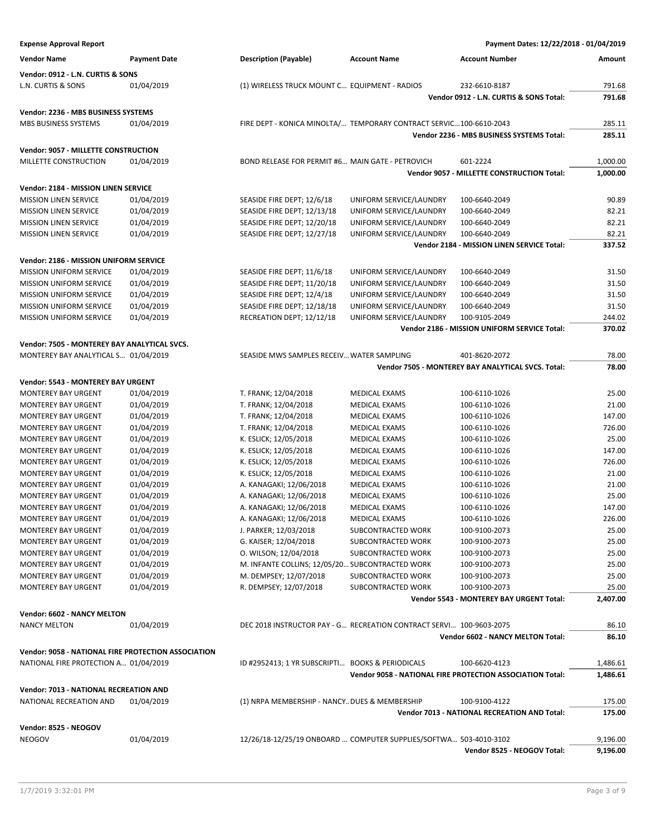| <b>Expense Approval Report</b>                                                               |                     |                                                                     |                         | Payment Dates: 12/22/2018 - 01/04/2019                                     |                      |
|----------------------------------------------------------------------------------------------|---------------------|---------------------------------------------------------------------|-------------------------|----------------------------------------------------------------------------|----------------------|
| <b>Vendor Name</b>                                                                           | <b>Payment Date</b> | <b>Description (Payable)</b>                                        | <b>Account Name</b>     | <b>Account Number</b>                                                      | Amount               |
| Vendor: 0912 - L.N. CURTIS & SONS                                                            |                     |                                                                     |                         |                                                                            |                      |
| L.N. CURTIS & SONS                                                                           | 01/04/2019          | (1) WIRELESS TRUCK MOUNT C EQUIPMENT - RADIOS                       |                         | 232-6610-8187                                                              | 791.68               |
|                                                                                              |                     |                                                                     |                         | Vendor 0912 - L.N. CURTIS & SONS Total:                                    | 791.68               |
|                                                                                              |                     |                                                                     |                         |                                                                            |                      |
| Vendor: 2236 - MBS BUSINESS SYSTEMS                                                          |                     |                                                                     |                         |                                                                            |                      |
| MBS BUSINESS SYSTEMS                                                                         | 01/04/2019          | FIRE DEPT - KONICA MINOLTA/ TEMPORARY CONTRACT SERVIC100-6610-2043  |                         |                                                                            | 285.11               |
|                                                                                              |                     |                                                                     |                         | Vendor 2236 - MBS BUSINESS SYSTEMS Total:                                  | 285.11               |
| Vendor: 9057 - MILLETTE CONSTRUCTION                                                         |                     |                                                                     |                         |                                                                            |                      |
| MILLETTE CONSTRUCTION                                                                        | 01/04/2019          | BOND RELEASE FOR PERMIT #6 MAIN GATE - PETROVICH                    |                         | 601-2224                                                                   | 1,000.00             |
|                                                                                              |                     |                                                                     |                         | Vendor 9057 - MILLETTE CONSTRUCTION Total:                                 | 1,000.00             |
| Vendor: 2184 - MISSION LINEN SERVICE                                                         |                     |                                                                     |                         |                                                                            |                      |
| <b>MISSION LINEN SERVICE</b>                                                                 | 01/04/2019          | SEASIDE FIRE DEPT; 12/6/18                                          | UNIFORM SERVICE/LAUNDRY | 100-6640-2049                                                              | 90.89                |
| <b>MISSION LINEN SERVICE</b>                                                                 | 01/04/2019          | SEASIDE FIRE DEPT; 12/13/18                                         | UNIFORM SERVICE/LAUNDRY | 100-6640-2049                                                              | 82.21                |
| <b>MISSION LINEN SERVICE</b>                                                                 | 01/04/2019          | SEASIDE FIRE DEPT; 12/20/18                                         | UNIFORM SERVICE/LAUNDRY | 100-6640-2049                                                              | 82.21                |
| <b>MISSION LINEN SERVICE</b>                                                                 | 01/04/2019          | SEASIDE FIRE DEPT; 12/27/18                                         | UNIFORM SERVICE/LAUNDRY | 100-6640-2049                                                              | 82.21                |
|                                                                                              |                     |                                                                     |                         | Vendor 2184 - MISSION LINEN SERVICE Total:                                 | 337.52               |
| <b>Vendor: 2186 - MISSION UNIFORM SERVICE</b>                                                |                     |                                                                     |                         |                                                                            |                      |
| <b>MISSION UNIFORM SERVICE</b>                                                               | 01/04/2019          | SEASIDE FIRE DEPT; 11/6/18                                          | UNIFORM SERVICE/LAUNDRY | 100-6640-2049                                                              | 31.50                |
| MISSION UNIFORM SERVICE                                                                      | 01/04/2019          | SEASIDE FIRE DEPT; 11/20/18                                         | UNIFORM SERVICE/LAUNDRY | 100-6640-2049                                                              | 31.50                |
| MISSION UNIFORM SERVICE                                                                      | 01/04/2019          | SEASIDE FIRE DEPT; 12/4/18                                          | UNIFORM SERVICE/LAUNDRY | 100-6640-2049                                                              | 31.50                |
| <b>MISSION UNIFORM SERVICE</b>                                                               | 01/04/2019          | SEASIDE FIRE DEPT; 12/18/18                                         | UNIFORM SERVICE/LAUNDRY | 100-6640-2049                                                              | 31.50                |
| <b>MISSION UNIFORM SERVICE</b>                                                               | 01/04/2019          | RECREATION DEPT; 12/12/18                                           | UNIFORM SERVICE/LAUNDRY | 100-9105-2049                                                              | 244.02               |
|                                                                                              |                     |                                                                     |                         | Vendor 2186 - MISSION UNIFORM SERVICE Total:                               | 370.02               |
|                                                                                              |                     |                                                                     |                         |                                                                            |                      |
| Vendor: 7505 - MONTEREY BAY ANALYTICAL SVCS.                                                 |                     |                                                                     |                         |                                                                            |                      |
| MONTEREY BAY ANALYTICAL S 01/04/2019                                                         |                     | SEASIDE MWS SAMPLES RECEIV WATER SAMPLING                           |                         | 401-8620-2072                                                              | 78.00                |
|                                                                                              |                     |                                                                     |                         | Vendor 7505 - MONTEREY BAY ANALYTICAL SVCS. Total:                         | 78.00                |
| Vendor: 5543 - MONTEREY BAY URGENT                                                           |                     |                                                                     |                         |                                                                            |                      |
| <b>MONTEREY BAY URGENT</b>                                                                   | 01/04/2019          | T. FRANK; 12/04/2018                                                | <b>MEDICAL EXAMS</b>    | 100-6110-1026                                                              | 25.00                |
| <b>MONTEREY BAY URGENT</b>                                                                   | 01/04/2019          | T. FRANK; 12/04/2018                                                | <b>MEDICAL EXAMS</b>    | 100-6110-1026                                                              | 21.00                |
| <b>MONTEREY BAY URGENT</b>                                                                   | 01/04/2019          | T. FRANK; 12/04/2018                                                | <b>MEDICAL EXAMS</b>    | 100-6110-1026                                                              | 147.00               |
| <b>MONTEREY BAY URGENT</b>                                                                   | 01/04/2019          | T. FRANK; 12/04/2018                                                | <b>MEDICAL EXAMS</b>    | 100-6110-1026                                                              | 726.00               |
| <b>MONTEREY BAY URGENT</b>                                                                   | 01/04/2019          | K. ESLICK; 12/05/2018                                               | <b>MEDICAL EXAMS</b>    | 100-6110-1026                                                              | 25.00                |
| <b>MONTEREY BAY URGENT</b>                                                                   | 01/04/2019          | K. ESLICK; 12/05/2018                                               | <b>MEDICAL EXAMS</b>    | 100-6110-1026                                                              | 147.00               |
| MONTEREY BAY URGENT                                                                          | 01/04/2019          | K. ESLICK; 12/05/2018                                               | <b>MEDICAL EXAMS</b>    | 100-6110-1026                                                              | 726.00               |
| <b>MONTEREY BAY URGENT</b>                                                                   | 01/04/2019          | K. ESLICK; 12/05/2018                                               | <b>MEDICAL EXAMS</b>    | 100-6110-1026                                                              | 21.00                |
| <b>MONTEREY BAY URGENT</b>                                                                   | 01/04/2019          | A. KANAGAKI; 12/06/2018                                             | <b>MEDICAL EXAMS</b>    | 100-6110-1026                                                              | 21.00                |
| <b>MONTEREY BAY URGENT</b>                                                                   | 01/04/2019          | A. KANAGAKI; 12/06/2018                                             | <b>MEDICAL EXAMS</b>    | 100-6110-1026                                                              | 25.00                |
| <b>MONTEREY BAY URGENT</b>                                                                   | 01/04/2019          | A. KANAGAKI; 12/06/2018                                             | <b>MEDICAL EXAMS</b>    | 100-6110-1026                                                              | 147.00               |
| <b>MONTEREY BAY URGENT</b>                                                                   | 01/04/2019          | A. KANAGAKI; 12/06/2018                                             | <b>MEDICAL EXAMS</b>    | 100-6110-1026                                                              | 226.00               |
| <b>MONTEREY BAY URGENT</b>                                                                   | 01/04/2019          | J. PARKER; 12/03/2018                                               | SUBCONTRACTED WORK      | 100-9100-2073                                                              | 25.00                |
| <b>MONTEREY BAY URGENT</b>                                                                   | 01/04/2019          | G. KAISER; 12/04/2018                                               | SUBCONTRACTED WORK      | 100-9100-2073                                                              | 25.00                |
| <b>MONTEREY BAY URGENT</b>                                                                   | 01/04/2019          | O. WILSON; 12/04/2018                                               | SUBCONTRACTED WORK      | 100-9100-2073                                                              | 25.00                |
| <b>MONTEREY BAY URGENT</b>                                                                   | 01/04/2019          | M. INFANTE COLLINS; 12/05/20 SUBCONTRACTED WORK                     |                         | 100-9100-2073                                                              | 25.00                |
| <b>MONTEREY BAY URGENT</b>                                                                   | 01/04/2019          | M. DEMPSEY; 12/07/2018                                              | SUBCONTRACTED WORK      | 100-9100-2073                                                              | 25.00                |
| <b>MONTEREY BAY URGENT</b>                                                                   | 01/04/2019          | R. DEMPSEY; 12/07/2018                                              | SUBCONTRACTED WORK      | 100-9100-2073                                                              | 25.00                |
|                                                                                              |                     |                                                                     |                         | Vendor 5543 - MONTEREY BAY URGENT Total:                                   | 2,407.00             |
| Vendor: 6602 - NANCY MELTON                                                                  |                     |                                                                     |                         |                                                                            |                      |
| <b>NANCY MELTON</b>                                                                          | 01/04/2019          | DEC 2018 INSTRUCTOR PAY - G RECREATION CONTRACT SERVI 100-9603-2075 |                         |                                                                            | 86.10                |
|                                                                                              |                     |                                                                     |                         | Vendor 6602 - NANCY MELTON Total:                                          | 86.10                |
|                                                                                              |                     |                                                                     |                         |                                                                            |                      |
| Vendor: 9058 - NATIONAL FIRE PROTECTION ASSOCIATION<br>NATIONAL FIRE PROTECTION A 01/04/2019 |                     | ID #2952413; 1 YR SUBSCRIPTI BOOKS & PERIODICALS                    |                         |                                                                            |                      |
|                                                                                              |                     |                                                                     |                         | 100-6620-4123<br>Vendor 9058 - NATIONAL FIRE PROTECTION ASSOCIATION Total: | 1,486.61<br>1,486.61 |
|                                                                                              |                     |                                                                     |                         |                                                                            |                      |
| Vendor: 7013 - NATIONAL RECREATION AND                                                       |                     |                                                                     |                         |                                                                            |                      |
| NATIONAL RECREATION AND                                                                      | 01/04/2019          | (1) NRPA MEMBERSHIP - NANCY DUES & MEMBERSHIP                       |                         | 100-9100-4122                                                              | 175.00               |
|                                                                                              |                     |                                                                     |                         | Vendor 7013 - NATIONAL RECREATION AND Total:                               | 175.00               |
| Vendor: 8525 - NEOGOV                                                                        |                     |                                                                     |                         |                                                                            |                      |
| <b>NEOGOV</b>                                                                                | 01/04/2019          | 12/26/18-12/25/19 ONBOARD  COMPUTER SUPPLIES/SOFTWA 503-4010-3102   |                         |                                                                            | 9,196.00             |
|                                                                                              |                     |                                                                     |                         | Vendor 8525 - NEOGOV Total:                                                | 9,196.00             |
|                                                                                              |                     |                                                                     |                         |                                                                            |                      |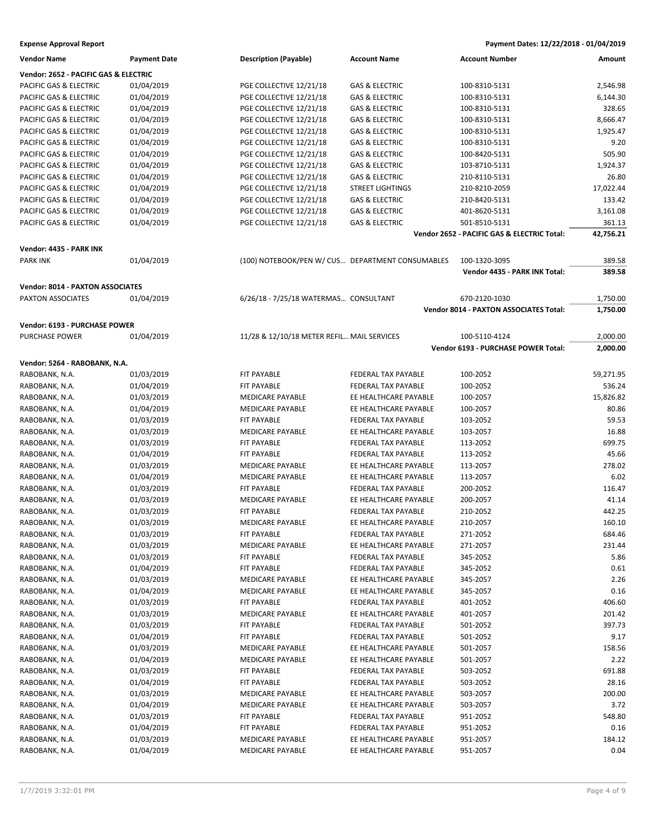**Expense Approval Report Payment Dates: 12/22/2018 - 01/04/2019**

| Vendor Name                             | <b>Payment Date</b> | <b>Description (Payable)</b>                     | <b>Account Name</b>        | <b>Account Number</b>                         | Amount    |
|-----------------------------------------|---------------------|--------------------------------------------------|----------------------------|-----------------------------------------------|-----------|
| Vendor: 2652 - PACIFIC GAS & ELECTRIC   |                     |                                                  |                            |                                               |           |
| PACIFIC GAS & ELECTRIC                  | 01/04/2019          | PGE COLLECTIVE 12/21/18                          | <b>GAS &amp; ELECTRIC</b>  | 100-8310-5131                                 | 2,546.98  |
| PACIFIC GAS & ELECTRIC                  | 01/04/2019          | PGE COLLECTIVE 12/21/18                          | <b>GAS &amp; ELECTRIC</b>  | 100-8310-5131                                 | 6,144.30  |
| PACIFIC GAS & ELECTRIC                  | 01/04/2019          | PGE COLLECTIVE 12/21/18                          | <b>GAS &amp; ELECTRIC</b>  | 100-8310-5131                                 | 328.65    |
| PACIFIC GAS & ELECTRIC                  | 01/04/2019          | PGE COLLECTIVE 12/21/18                          | <b>GAS &amp; ELECTRIC</b>  | 100-8310-5131                                 | 8,666.47  |
| PACIFIC GAS & ELECTRIC                  | 01/04/2019          | PGE COLLECTIVE 12/21/18                          | <b>GAS &amp; ELECTRIC</b>  | 100-8310-5131                                 | 1,925.47  |
|                                         | 01/04/2019          | PGE COLLECTIVE 12/21/18                          | <b>GAS &amp; ELECTRIC</b>  |                                               | 9.20      |
| PACIFIC GAS & ELECTRIC                  |                     |                                                  |                            | 100-8310-5131                                 |           |
| PACIFIC GAS & ELECTRIC                  | 01/04/2019          | PGE COLLECTIVE 12/21/18                          | <b>GAS &amp; ELECTRIC</b>  | 100-8420-5131                                 | 505.90    |
| PACIFIC GAS & ELECTRIC                  | 01/04/2019          | PGE COLLECTIVE 12/21/18                          | <b>GAS &amp; ELECTRIC</b>  | 103-8710-5131                                 | 1,924.37  |
| PACIFIC GAS & ELECTRIC                  | 01/04/2019          | PGE COLLECTIVE 12/21/18                          | <b>GAS &amp; ELECTRIC</b>  | 210-8110-5131                                 | 26.80     |
| PACIFIC GAS & ELECTRIC                  | 01/04/2019          | PGE COLLECTIVE 12/21/18                          | <b>STREET LIGHTINGS</b>    | 210-8210-2059                                 | 17,022.44 |
| PACIFIC GAS & ELECTRIC                  | 01/04/2019          | PGE COLLECTIVE 12/21/18                          | <b>GAS &amp; ELECTRIC</b>  | 210-8420-5131                                 | 133.42    |
| PACIFIC GAS & ELECTRIC                  | 01/04/2019          | PGE COLLECTIVE 12/21/18                          | <b>GAS &amp; ELECTRIC</b>  | 401-8620-5131                                 | 3,161.08  |
| PACIFIC GAS & ELECTRIC                  | 01/04/2019          | PGE COLLECTIVE 12/21/18                          | <b>GAS &amp; ELECTRIC</b>  | 501-8510-5131                                 | 361.13    |
|                                         |                     |                                                  |                            | Vendor 2652 - PACIFIC GAS & ELECTRIC Total:   | 42,756.21 |
| Vendor: 4435 - PARK INK                 |                     |                                                  |                            |                                               |           |
| <b>PARK INK</b>                         | 01/04/2019          | (100) NOTEBOOK/PEN W/ CUS DEPARTMENT CONSUMABLES |                            | 100-1320-3095                                 | 389.58    |
|                                         |                     |                                                  |                            | Vendor 4435 - PARK INK Total:                 | 389.58    |
|                                         |                     |                                                  |                            |                                               |           |
| <b>Vendor: 8014 - PAXTON ASSOCIATES</b> |                     |                                                  |                            |                                               |           |
| <b>PAXTON ASSOCIATES</b>                | 01/04/2019          | 6/26/18 - 7/25/18 WATERMAS CONSULTANT            |                            | 670-2120-1030                                 | 1,750.00  |
|                                         |                     |                                                  |                            | <b>Vendor 8014 - PAXTON ASSOCIATES Total:</b> | 1,750.00  |
| Vendor: 6193 - PURCHASE POWER           |                     |                                                  |                            |                                               |           |
| <b>PURCHASE POWER</b>                   | 01/04/2019          | 11/28 & 12/10/18 METER REFIL MAIL SERVICES       |                            | 100-5110-4124                                 | 2,000.00  |
|                                         |                     |                                                  |                            | Vendor 6193 - PURCHASE POWER Total:           | 2,000.00  |
|                                         |                     |                                                  |                            |                                               |           |
| Vendor: 5264 - RABOBANK, N.A.           |                     |                                                  |                            |                                               |           |
| RABOBANK, N.A.                          | 01/03/2019          | FIT PAYABLE                                      | FEDERAL TAX PAYABLE        | 100-2052                                      | 59,271.95 |
| RABOBANK, N.A.                          | 01/04/2019          | FIT PAYABLE                                      | FEDERAL TAX PAYABLE        | 100-2052                                      | 536.24    |
| RABOBANK, N.A.                          | 01/03/2019          | <b>MEDICARE PAYABLE</b>                          | EE HEALTHCARE PAYABLE      | 100-2057                                      | 15,826.82 |
| RABOBANK, N.A.                          | 01/04/2019          | MEDICARE PAYABLE                                 | EE HEALTHCARE PAYABLE      | 100-2057                                      | 80.86     |
| RABOBANK, N.A.                          | 01/03/2019          | FIT PAYABLE                                      | FEDERAL TAX PAYABLE        | 103-2052                                      | 59.53     |
| RABOBANK, N.A.                          | 01/03/2019          | <b>MEDICARE PAYABLE</b>                          | EE HEALTHCARE PAYABLE      | 103-2057                                      | 16.88     |
| RABOBANK, N.A.                          | 01/03/2019          | FIT PAYABLE                                      | FEDERAL TAX PAYABLE        | 113-2052                                      | 699.75    |
| RABOBANK, N.A.                          | 01/04/2019          | FIT PAYABLE                                      | FEDERAL TAX PAYABLE        | 113-2052                                      | 45.66     |
| RABOBANK, N.A.                          | 01/03/2019          | <b>MEDICARE PAYABLE</b>                          | EE HEALTHCARE PAYABLE      | 113-2057                                      | 278.02    |
| RABOBANK, N.A.                          | 01/04/2019          | <b>MEDICARE PAYABLE</b>                          | EE HEALTHCARE PAYABLE      | 113-2057                                      | 6.02      |
| RABOBANK, N.A.                          | 01/03/2019          | FIT PAYABLE                                      | FEDERAL TAX PAYABLE        | 200-2052                                      | 116.47    |
| RABOBANK, N.A.                          | 01/03/2019          | <b>MEDICARE PAYABLE</b>                          | EE HEALTHCARE PAYABLE      | 200-2057                                      | 41.14     |
| RABOBANK, N.A.                          | 01/03/2019          | FIT PAYABLE                                      | <b>FEDERAL TAX PAYABLE</b> | 210-2052                                      | 442.25    |
| RABOBANK, N.A.                          | 01/03/2019          | <b>MEDICARE PAYABLE</b>                          | EE HEALTHCARE PAYABLE      | 210-2057                                      | 160.10    |
| RABOBANK, N.A.                          | 01/03/2019          | FIT PAYABLE                                      | FEDERAL TAX PAYABLE        | 271-2052                                      | 684.46    |
| RABOBANK, N.A.                          | 01/03/2019          | MEDICARE PAYABLE                                 | EE HEALTHCARE PAYABLE      | 271-2057                                      | 231.44    |
| RABOBANK, N.A.                          | 01/03/2019          | FIT PAYABLE                                      | FEDERAL TAX PAYABLE        | 345-2052                                      | 5.86      |
| RABOBANK, N.A.                          | 01/04/2019          | FIT PAYABLE                                      | FEDERAL TAX PAYABLE        | 345-2052                                      | 0.61      |
| RABOBANK, N.A.                          | 01/03/2019          | MEDICARE PAYABLE                                 | EE HEALTHCARE PAYABLE      | 345-2057                                      | 2.26      |
| RABOBANK, N.A.                          | 01/04/2019          | MEDICARE PAYABLE                                 | EE HEALTHCARE PAYABLE      | 345-2057                                      | 0.16      |
| RABOBANK, N.A.                          | 01/03/2019          | FIT PAYABLE                                      | FEDERAL TAX PAYABLE        | 401-2052                                      | 406.60    |
| RABOBANK, N.A.                          | 01/03/2019          | MEDICARE PAYABLE                                 | EE HEALTHCARE PAYABLE      | 401-2057                                      | 201.42    |
| RABOBANK, N.A.                          | 01/03/2019          | FIT PAYABLE                                      | FEDERAL TAX PAYABLE        | 501-2052                                      | 397.73    |
| RABOBANK, N.A.                          | 01/04/2019          | FIT PAYABLE                                      | FEDERAL TAX PAYABLE        | 501-2052                                      | 9.17      |
| RABOBANK, N.A.                          | 01/03/2019          | MEDICARE PAYABLE                                 | EE HEALTHCARE PAYABLE      | 501-2057                                      | 158.56    |
|                                         |                     |                                                  | EE HEALTHCARE PAYABLE      |                                               |           |
| RABOBANK, N.A.                          | 01/04/2019          | MEDICARE PAYABLE                                 |                            | 501-2057                                      | 2.22      |
| RABOBANK, N.A.                          | 01/03/2019          | FIT PAYABLE                                      | FEDERAL TAX PAYABLE        | 503-2052                                      | 691.88    |
| RABOBANK, N.A.                          | 01/04/2019          | FIT PAYABLE                                      | FEDERAL TAX PAYABLE        | 503-2052                                      | 28.16     |
| RABOBANK, N.A.                          | 01/03/2019          | MEDICARE PAYABLE                                 | EE HEALTHCARE PAYABLE      | 503-2057                                      | 200.00    |
| RABOBANK, N.A.                          | 01/04/2019          | MEDICARE PAYABLE                                 | EE HEALTHCARE PAYABLE      | 503-2057                                      | 3.72      |
| RABOBANK, N.A.                          | 01/03/2019          | FIT PAYABLE                                      | FEDERAL TAX PAYABLE        | 951-2052                                      | 548.80    |
| RABOBANK, N.A.                          | 01/04/2019          | FIT PAYABLE                                      | FEDERAL TAX PAYABLE        | 951-2052                                      | 0.16      |
| RABOBANK, N.A.                          | 01/03/2019          | MEDICARE PAYABLE                                 | EE HEALTHCARE PAYABLE      | 951-2057                                      | 184.12    |
| RABOBANK, N.A.                          | 01/04/2019          | MEDICARE PAYABLE                                 | EE HEALTHCARE PAYABLE      | 951-2057                                      | 0.04      |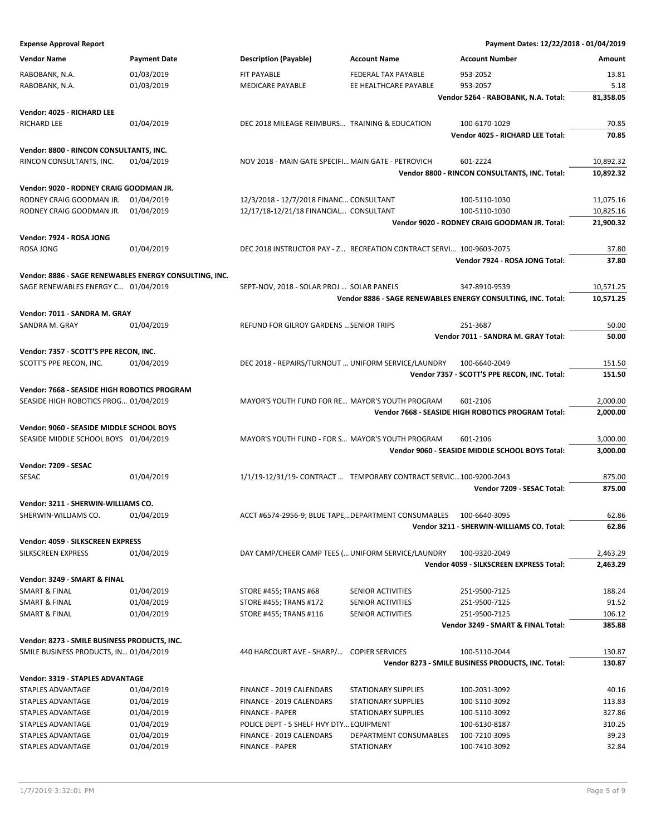**Expense Approval Report Payment Dates: 12/22/2018 - 01/04/2019**

| <b>Vendor Name</b>                                     | <b>Payment Date</b> | <b>Description (Payable)</b>                                        | <b>Account Name</b>        | <b>Account Number</b>                                        | Amount           |
|--------------------------------------------------------|---------------------|---------------------------------------------------------------------|----------------------------|--------------------------------------------------------------|------------------|
| RABOBANK, N.A.                                         | 01/03/2019          | FIT PAYABLE                                                         | FEDERAL TAX PAYABLE        | 953-2052                                                     | 13.81            |
| RABOBANK, N.A.                                         | 01/03/2019          | MEDICARE PAYABLE                                                    | EE HEALTHCARE PAYABLE      | 953-2057                                                     | 5.18             |
|                                                        |                     |                                                                     |                            | Vendor 5264 - RABOBANK, N.A. Total:                          | 81,358.05        |
| Vendor: 4025 - RICHARD LEE                             |                     |                                                                     |                            |                                                              |                  |
| RICHARD LEE                                            | 01/04/2019          | DEC 2018 MILEAGE REIMBURS TRAINING & EDUCATION                      |                            | 100-6170-1029                                                | 70.85            |
|                                                        |                     |                                                                     |                            | Vendor 4025 - RICHARD LEE Total:                             | 70.85            |
|                                                        |                     |                                                                     |                            |                                                              |                  |
| Vendor: 8800 - RINCON CONSULTANTS, INC.                |                     |                                                                     |                            |                                                              |                  |
| RINCON CONSULTANTS, INC.                               | 01/04/2019          | NOV 2018 - MAIN GATE SPECIFI MAIN GATE - PETROVICH                  |                            | 601-2224                                                     | 10,892.32        |
|                                                        |                     |                                                                     |                            | Vendor 8800 - RINCON CONSULTANTS, INC. Total:                | 10,892.32        |
| Vendor: 9020 - RODNEY CRAIG GOODMAN JR.                |                     |                                                                     |                            |                                                              |                  |
| RODNEY CRAIG GOODMAN JR.                               | 01/04/2019          | 12/3/2018 - 12/7/2018 FINANC CONSULTANT                             |                            | 100-5110-1030                                                | 11,075.16        |
| RODNEY CRAIG GOODMAN JR.                               | 01/04/2019          | 12/17/18-12/21/18 FINANCIAL CONSULTANT                              |                            | 100-5110-1030                                                | 10,825.16        |
|                                                        |                     |                                                                     |                            | Vendor 9020 - RODNEY CRAIG GOODMAN JR. Total:                | 21,900.32        |
| Vendor: 7924 - ROSA JONG                               |                     |                                                                     |                            |                                                              |                  |
| ROSA JONG                                              | 01/04/2019          | DEC 2018 INSTRUCTOR PAY - Z RECREATION CONTRACT SERVI 100-9603-2075 |                            |                                                              | 37.80            |
|                                                        |                     |                                                                     |                            | Vendor 7924 - ROSA JONG Total:                               | 37.80            |
| Vendor: 8886 - SAGE RENEWABLES ENERGY CONSULTING, INC. |                     |                                                                     |                            |                                                              |                  |
| SAGE RENEWABLES ENERGY C 01/04/2019                    |                     | SEPT-NOV, 2018 - SOLAR PROJ  SOLAR PANELS                           |                            | 347-8910-9539                                                | 10,571.25        |
|                                                        |                     |                                                                     |                            | Vendor 8886 - SAGE RENEWABLES ENERGY CONSULTING, INC. Total: | 10,571.25        |
|                                                        |                     |                                                                     |                            |                                                              |                  |
| Vendor: 7011 - SANDRA M. GRAY                          |                     |                                                                     |                            |                                                              |                  |
| SANDRA M. GRAY                                         | 01/04/2019          | REFUND FOR GILROY GARDENS  SENIOR TRIPS                             |                            | 251-3687                                                     | 50.00            |
|                                                        |                     |                                                                     |                            | Vendor 7011 - SANDRA M. GRAY Total:                          | 50.00            |
| Vendor: 7357 - SCOTT'S PPE RECON, INC.                 |                     |                                                                     |                            |                                                              |                  |
| SCOTT'S PPE RECON, INC.                                | 01/04/2019          | DEC 2018 - REPAIRS/TURNOUT  UNIFORM SERVICE/LAUNDRY                 |                            | 100-6640-2049                                                | 151.50           |
|                                                        |                     |                                                                     |                            | Vendor 7357 - SCOTT'S PPE RECON, INC. Total:                 | 151.50           |
| Vendor: 7668 - SEASIDE HIGH ROBOTICS PROGRAM           |                     |                                                                     |                            |                                                              |                  |
| SEASIDE HIGH ROBOTICS PROG 01/04/2019                  |                     | MAYOR'S YOUTH FUND FOR RE MAYOR'S YOUTH PROGRAM                     |                            | 601-2106                                                     | 2,000.00         |
|                                                        |                     |                                                                     |                            | Vendor 7668 - SEASIDE HIGH ROBOTICS PROGRAM Total:           | 2,000.00         |
| Vendor: 9060 - SEASIDE MIDDLE SCHOOL BOYS              |                     |                                                                     |                            |                                                              |                  |
| SEASIDE MIDDLE SCHOOL BOYS 01/04/2019                  |                     | MAYOR'S YOUTH FUND - FOR S MAYOR'S YOUTH PROGRAM                    |                            | 601-2106                                                     | 3,000.00         |
|                                                        |                     |                                                                     |                            | Vendor 9060 - SEASIDE MIDDLE SCHOOL BOYS Total:              | 3,000.00         |
|                                                        |                     |                                                                     |                            |                                                              |                  |
| Vendor: 7209 - SESAC                                   |                     |                                                                     |                            |                                                              |                  |
| SESAC                                                  | 01/04/2019          | 1/1/19-12/31/19- CONTRACT  TEMPORARY CONTRACT SERVIC100-9200-2043   |                            | Vendor 7209 - SESAC Total:                                   | 875.00<br>875.00 |
|                                                        |                     |                                                                     |                            |                                                              |                  |
| Vendor: 3211 - SHERWIN-WILLIAMS CO.                    |                     |                                                                     |                            |                                                              |                  |
| SHERWIN-WILLIAMS CO.                                   | 01/04/2019          | ACCT #6574-2956-9; BLUE TAPE,DEPARTMENT CONSUMABLES                 |                            | 100-6640-3095                                                | 62.86            |
|                                                        |                     |                                                                     |                            | Vendor 3211 - SHERWIN-WILLIAMS CO. Total:                    | 62.86            |
| Vendor: 4059 - SILKSCREEN EXPRESS                      |                     |                                                                     |                            |                                                              |                  |
| SILKSCREEN EXPRESS                                     | 01/04/2019          | DAY CAMP/CHEER CAMP TEES ( UNIFORM SERVICE/LAUNDRY                  |                            | 100-9320-2049                                                | 2,463.29         |
|                                                        |                     |                                                                     |                            | Vendor 4059 - SILKSCREEN EXPRESS Total:                      | 2,463.29         |
| Vendor: 3249 - SMART & FINAL                           |                     |                                                                     |                            |                                                              |                  |
| SMART & FINAL                                          | 01/04/2019          | STORE #455; TRANS #68                                               | SENIOR ACTIVITIES          | 251-9500-7125                                                | 188.24           |
| <b>SMART &amp; FINAL</b>                               | 01/04/2019          | STORE #455; TRANS #172                                              | SENIOR ACTIVITIES          | 251-9500-7125                                                | 91.52            |
| <b>SMART &amp; FINAL</b>                               | 01/04/2019          | STORE #455; TRANS #116                                              | SENIOR ACTIVITIES          | 251-9500-7125                                                | 106.12           |
|                                                        |                     |                                                                     |                            | Vendor 3249 - SMART & FINAL Total:                           | 385.88           |
| Vendor: 8273 - SMILE BUSINESS PRODUCTS, INC.           |                     |                                                                     |                            |                                                              |                  |
| SMILE BUSINESS PRODUCTS, IN 01/04/2019                 |                     | 440 HARCOURT AVE - SHARP/ COPIER SERVICES                           |                            | 100-5110-2044                                                | 130.87           |
|                                                        |                     |                                                                     |                            | Vendor 8273 - SMILE BUSINESS PRODUCTS, INC. Total:           | 130.87           |
|                                                        |                     |                                                                     |                            |                                                              |                  |
| <b>Vendor: 3319 - STAPLES ADVANTAGE</b>                |                     |                                                                     |                            |                                                              |                  |
| STAPLES ADVANTAGE                                      | 01/04/2019          | FINANCE - 2019 CALENDARS                                            | <b>STATIONARY SUPPLIES</b> | 100-2031-3092                                                | 40.16            |
| STAPLES ADVANTAGE                                      | 01/04/2019          | FINANCE - 2019 CALENDARS                                            | STATIONARY SUPPLIES        | 100-5110-3092                                                | 113.83           |
| STAPLES ADVANTAGE                                      | 01/04/2019          | <b>FINANCE - PAPER</b>                                              | STATIONARY SUPPLIES        | 100-5110-3092                                                | 327.86           |
| STAPLES ADVANTAGE                                      | 01/04/2019          | POLICE DEPT - 5 SHELF HVY DTY EQUIPMENT                             |                            | 100-6130-8187                                                | 310.25           |
| STAPLES ADVANTAGE                                      | 01/04/2019          | FINANCE - 2019 CALENDARS                                            | DEPARTMENT CONSUMABLES     | 100-7210-3095                                                | 39.23            |
| STAPLES ADVANTAGE                                      | 01/04/2019          | <b>FINANCE - PAPER</b>                                              | <b>STATIONARY</b>          | 100-7410-3092                                                | 32.84            |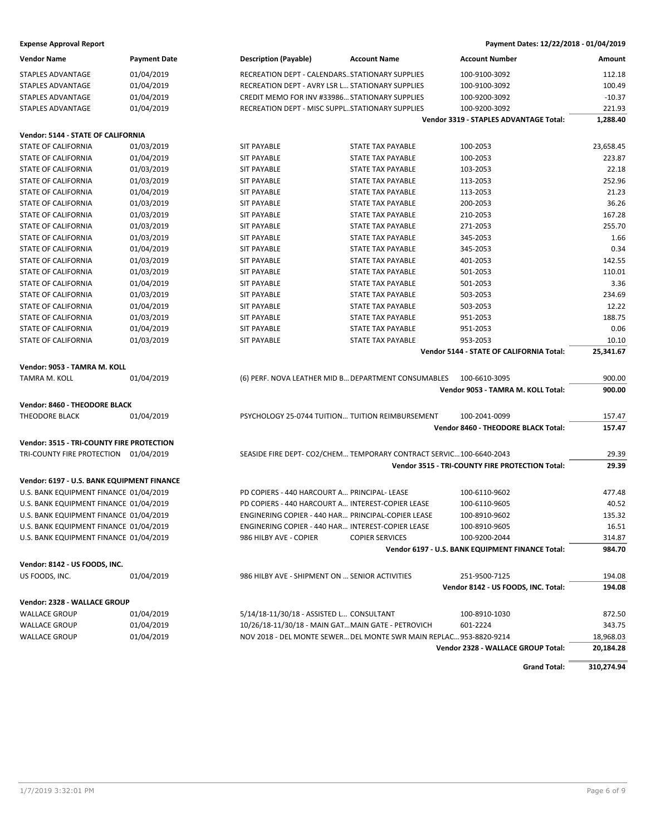#### **Expense Approval Report Payment Dates: 12/22/2018 - 01/04/2019**

| <b>Vendor Name</b>                         | <b>Payment Date</b> | <b>Description (Payable)</b>                                        | <b>Account Name</b>      | <b>Account Number</b>                            | Amount     |
|--------------------------------------------|---------------------|---------------------------------------------------------------------|--------------------------|--------------------------------------------------|------------|
| <b>STAPLES ADVANTAGE</b>                   | 01/04/2019          | RECREATION DEPT - CALENDARSSTATIONARY SUPPLIES                      |                          | 100-9100-3092                                    | 112.18     |
| STAPLES ADVANTAGE                          | 01/04/2019          | RECREATION DEPT - AVRY LSR L STATIONARY SUPPLIES                    |                          | 100-9100-3092                                    | 100.49     |
| STAPLES ADVANTAGE                          | 01/04/2019          | CREDIT MEMO FOR INV #33986 STATIONARY SUPPLIES                      |                          | 100-9200-3092                                    | $-10.37$   |
| <b>STAPLES ADVANTAGE</b>                   | 01/04/2019          | RECREATION DEPT - MISC SUPPLSTATIONARY SUPPLIES                     |                          | 100-9200-3092                                    | 221.93     |
|                                            |                     |                                                                     |                          | Vendor 3319 - STAPLES ADVANTAGE Total:           | 1,288.40   |
| Vendor: 5144 - STATE OF CALIFORNIA         |                     |                                                                     |                          |                                                  |            |
| <b>STATE OF CALIFORNIA</b>                 | 01/03/2019          | <b>SIT PAYABLE</b>                                                  | <b>STATE TAX PAYABLE</b> | 100-2053                                         | 23,658.45  |
| <b>STATE OF CALIFORNIA</b>                 | 01/04/2019          | <b>SIT PAYABLE</b>                                                  | STATE TAX PAYABLE        | 100-2053                                         | 223.87     |
| STATE OF CALIFORNIA                        | 01/03/2019          | <b>SIT PAYABLE</b>                                                  | <b>STATE TAX PAYABLE</b> | 103-2053                                         | 22.18      |
| STATE OF CALIFORNIA                        | 01/03/2019          | <b>SIT PAYABLE</b>                                                  | STATE TAX PAYABLE        | 113-2053                                         | 252.96     |
| <b>STATE OF CALIFORNIA</b>                 | 01/04/2019          | <b>SIT PAYABLE</b>                                                  | <b>STATE TAX PAYABLE</b> | 113-2053                                         | 21.23      |
| <b>STATE OF CALIFORNIA</b>                 | 01/03/2019          | <b>SIT PAYABLE</b>                                                  | <b>STATE TAX PAYABLE</b> | 200-2053                                         | 36.26      |
| <b>STATE OF CALIFORNIA</b>                 | 01/03/2019          | <b>SIT PAYABLE</b>                                                  | STATE TAX PAYABLE        | 210-2053                                         | 167.28     |
| STATE OF CALIFORNIA                        | 01/03/2019          | <b>SIT PAYABLE</b>                                                  | STATE TAX PAYABLE        | 271-2053                                         | 255.70     |
| STATE OF CALIFORNIA                        | 01/03/2019          | SIT PAYABLE                                                         | STATE TAX PAYABLE        | 345-2053                                         | 1.66       |
| <b>STATE OF CALIFORNIA</b>                 | 01/04/2019          | <b>SIT PAYABLE</b>                                                  | <b>STATE TAX PAYABLE</b> | 345-2053                                         | 0.34       |
| <b>STATE OF CALIFORNIA</b>                 | 01/03/2019          | <b>SIT PAYABLE</b>                                                  | <b>STATE TAX PAYABLE</b> | 401-2053                                         | 142.55     |
| <b>STATE OF CALIFORNIA</b>                 | 01/03/2019          | <b>SIT PAYABLE</b>                                                  | STATE TAX PAYABLE        | 501-2053                                         | 110.01     |
| <b>STATE OF CALIFORNIA</b>                 | 01/04/2019          | <b>SIT PAYABLE</b>                                                  | STATE TAX PAYABLE        | 501-2053                                         | 3.36       |
| STATE OF CALIFORNIA                        | 01/03/2019          | <b>SIT PAYABLE</b>                                                  | STATE TAX PAYABLE        | 503-2053                                         | 234.69     |
| <b>STATE OF CALIFORNIA</b>                 | 01/04/2019          | <b>SIT PAYABLE</b>                                                  | <b>STATE TAX PAYABLE</b> | 503-2053                                         | 12.22      |
| <b>STATE OF CALIFORNIA</b>                 | 01/03/2019          | <b>SIT PAYABLE</b>                                                  | <b>STATE TAX PAYABLE</b> | 951-2053                                         | 188.75     |
| <b>STATE OF CALIFORNIA</b>                 | 01/04/2019          | <b>SIT PAYABLE</b>                                                  | <b>STATE TAX PAYABLE</b> | 951-2053                                         | 0.06       |
| <b>STATE OF CALIFORNIA</b>                 | 01/03/2019          | <b>SIT PAYABLE</b>                                                  | <b>STATE TAX PAYABLE</b> | 953-2053                                         | 10.10      |
|                                            |                     |                                                                     |                          | Vendor 5144 - STATE OF CALIFORNIA Total:         | 25,341.67  |
| Vendor: 9053 - TAMRA M. KOLL               |                     |                                                                     |                          |                                                  |            |
| TAMRA M. KOLL                              | 01/04/2019          | (6) PERF. NOVA LEATHER MID B DEPARTMENT CONSUMABLES                 |                          | 100-6610-3095                                    | 900.00     |
|                                            |                     |                                                                     |                          | Vendor 9053 - TAMRA M. KOLL Total:               | 900.00     |
| Vendor: 8460 - THEODORE BLACK              |                     |                                                                     |                          |                                                  |            |
| <b>THEODORE BLACK</b>                      | 01/04/2019          | PSYCHOLOGY 25-0744 TUITION TUITION REIMBURSEMENT                    |                          | 100-2041-0099                                    | 157.47     |
|                                            |                     |                                                                     |                          | Vendor 8460 - THEODORE BLACK Total:              | 157.47     |
|                                            |                     |                                                                     |                          |                                                  |            |
| Vendor: 3515 - TRI-COUNTY FIRE PROTECTION  |                     |                                                                     |                          |                                                  |            |
| TRI-COUNTY FIRE PROTECTION 01/04/2019      |                     | SEASIDE FIRE DEPT- CO2/CHEM TEMPORARY CONTRACT SERVIC 100-6640-2043 |                          |                                                  | 29.39      |
|                                            |                     |                                                                     |                          | Vendor 3515 - TRI-COUNTY FIRE PROTECTION Total:  | 29.39      |
| Vendor: 6197 - U.S. BANK EQUIPMENT FINANCE |                     |                                                                     |                          |                                                  |            |
| U.S. BANK EQUIPMENT FINANCE 01/04/2019     |                     | PD COPIERS - 440 HARCOURT A PRINCIPAL- LEASE                        |                          | 100-6110-9602                                    | 477.48     |
| U.S. BANK EQUIPMENT FINANCE 01/04/2019     |                     | PD COPIERS - 440 HARCOURT A INTEREST-COPIER LEASE                   |                          | 100-6110-9605                                    | 40.52      |
| U.S. BANK EQUIPMENT FINANCE 01/04/2019     |                     | ENGINERING COPIER - 440 HAR PRINCIPAL-COPIER LEASE                  |                          | 100-8910-9602                                    | 135.32     |
| U.S. BANK EQUIPMENT FINANCE 01/04/2019     |                     |                                                                     |                          |                                                  | 16.51      |
| U.S. BANK EQUIPMENT FINANCE 01/04/2019     |                     | ENGINERING COPIER - 440 HAR INTEREST-COPIER LEASE                   |                          | 100-8910-9605                                    |            |
|                                            |                     | 986 HILBY AVE - COPIER                                              | <b>COPIER SERVICES</b>   | 100-9200-2044                                    | 314.87     |
|                                            |                     |                                                                     |                          | Vendor 6197 - U.S. BANK EQUIPMENT FINANCE Total: | 984.70     |
| Vendor: 8142 - US FOODS, INC.              |                     |                                                                     |                          |                                                  |            |
| US FOODS, INC.                             | 01/04/2019          | 986 HILBY AVE - SHIPMENT ON  SENIOR ACTIVITIES                      |                          | 251-9500-7125                                    | 194.08     |
|                                            |                     |                                                                     |                          | Vendor 8142 - US FOODS, INC. Total:              | 194.08     |
| Vendor: 2328 - WALLACE GROUP               |                     |                                                                     |                          |                                                  |            |
| <b>WALLACE GROUP</b>                       | 01/04/2019          | 5/14/18-11/30/18 - ASSISTED L CONSULTANT                            |                          | 100-8910-1030                                    | 872.50     |
| <b>WALLACE GROUP</b>                       | 01/04/2019          | 10/26/18-11/30/18 - MAIN GATMAIN GATE - PETROVICH                   |                          | 601-2224                                         | 343.75     |
| <b>WALLACE GROUP</b>                       | 01/04/2019          | NOV 2018 - DEL MONTE SEWER DEL MONTE SWR MAIN REPLAC 953-8820-9214  |                          |                                                  | 18,968.03  |
|                                            |                     |                                                                     |                          | Vendor 2328 - WALLACE GROUP Total:               | 20,184.28  |
|                                            |                     |                                                                     |                          | <b>Grand Total:</b>                              | 310,274.94 |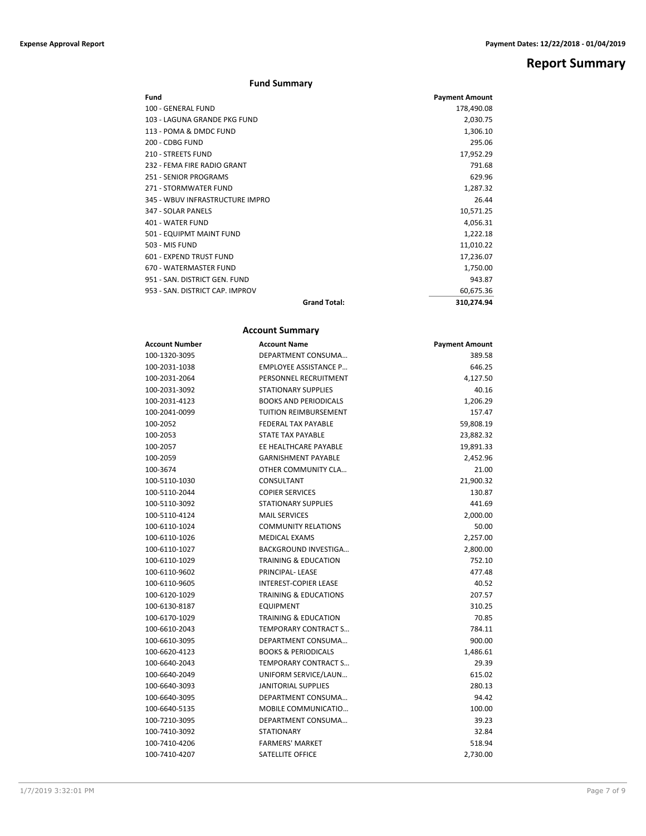**Report Summary**

#### **Fund Summary**

| Fund                            |                     | <b>Payment Amount</b> |
|---------------------------------|---------------------|-----------------------|
| 100 - GENERAL FUND              |                     | 178,490.08            |
| 103 - LAGUNA GRANDE PKG FUND    |                     | 2,030.75              |
| 113 - POMA & DMDC FUND          |                     | 1,306.10              |
| 200 - CDBG FUND                 |                     | 295.06                |
| <b>210 - STREETS FUND</b>       |                     | 17,952.29             |
| 232 - FEMA FIRE RADIO GRANT     |                     | 791.68                |
| <b>251 - SENIOR PROGRAMS</b>    |                     | 629.96                |
| 271 - STORMWATER FUND           |                     | 1,287.32              |
| 345 - WBUV INFRASTRUCTURE IMPRO |                     | 26.44                 |
| 347 - SOLAR PANELS              |                     | 10,571.25             |
| 401 - WATER FUND                |                     | 4,056.31              |
| 501 - EQUIPMT MAINT FUND        |                     | 1,222.18              |
| 503 - MIS FUND                  |                     | 11,010.22             |
| 601 - EXPEND TRUST FUND         |                     | 17,236.07             |
| 670 - WATERMASTER FUND          |                     | 1,750.00              |
| 951 - SAN, DISTRICT GEN, FUND   |                     | 943.87                |
| 953 - SAN, DISTRICT CAP, IMPROV |                     | 60,675.36             |
|                                 | <b>Grand Total:</b> | 310,274.94            |

#### **Account Summary**

| Account Number | <b>Account Name</b>              | <b>Payment Amount</b> |
|----------------|----------------------------------|-----------------------|
| 100-1320-3095  | DEPARTMENT CONSUMA               | 389.58                |
| 100-2031-1038  | <b>EMPLOYEE ASSISTANCE P</b>     | 646.25                |
| 100-2031-2064  | PERSONNEL RECRUITMENT            | 4,127.50              |
| 100-2031-3092  | <b>STATIONARY SUPPLIES</b>       | 40.16                 |
| 100-2031-4123  | <b>BOOKS AND PERIODICALS</b>     | 1,206.29              |
| 100-2041-0099  | <b>TUITION REIMBURSEMENT</b>     | 157.47                |
| 100-2052       | <b>FEDERAL TAX PAYABLE</b>       | 59,808.19             |
| 100-2053       | <b>STATE TAX PAYABLE</b>         | 23,882.32             |
| 100-2057       | EE HEALTHCARE PAYABLE            | 19,891.33             |
| 100-2059       | <b>GARNISHMENT PAYABLE</b>       | 2,452.96              |
| 100-3674       | OTHER COMMUNITY CLA              | 21.00                 |
| 100-5110-1030  | CONSULTANT                       | 21,900.32             |
| 100-5110-2044  | <b>COPIER SERVICES</b>           | 130.87                |
| 100-5110-3092  | <b>STATIONARY SUPPLIES</b>       | 441.69                |
| 100-5110-4124  | <b>MAIL SERVICES</b>             | 2,000.00              |
| 100-6110-1024  | <b>COMMUNITY RELATIONS</b>       | 50.00                 |
| 100-6110-1026  | <b>MEDICAL EXAMS</b>             | 2,257.00              |
| 100-6110-1027  | <b>BACKGROUND INVESTIGA</b>      | 2,800.00              |
| 100-6110-1029  | <b>TRAINING &amp; EDUCATION</b>  | 752.10                |
| 100-6110-9602  | PRINCIPAL-LEASE                  | 477.48                |
| 100-6110-9605  | <b>INTEREST-COPIER LEASE</b>     | 40.52                 |
| 100-6120-1029  | <b>TRAINING &amp; EDUCATIONS</b> | 207.57                |
| 100-6130-8187  | <b>EQUIPMENT</b>                 | 310.25                |
| 100-6170-1029  | <b>TRAINING &amp; EDUCATION</b>  | 70.85                 |
| 100-6610-2043  | <b>TEMPORARY CONTRACT S</b>      | 784.11                |
| 100-6610-3095  | DEPARTMENT CONSUMA               | 900.00                |
| 100-6620-4123  | <b>BOOKS &amp; PERIODICALS</b>   | 1,486.61              |
| 100-6640-2043  | <b>TEMPORARY CONTRACT S</b>      | 29.39                 |
| 100-6640-2049  | UNIFORM SERVICE/LAUN             | 615.02                |
| 100-6640-3093  | <b>JANITORIAL SUPPLIES</b>       | 280.13                |
| 100-6640-3095  | DEPARTMENT CONSUMA               | 94.42                 |
| 100-6640-5135  | MOBILE COMMUNICATIO              | 100.00                |
| 100-7210-3095  | DEPARTMENT CONSUMA               | 39.23                 |
| 100-7410-3092  | <b>STATIONARY</b>                | 32.84                 |
| 100-7410-4206  | <b>FARMERS' MARKET</b>           | 518.94                |
| 100-7410-4207  | SATELLITE OFFICE                 | 2,730.00              |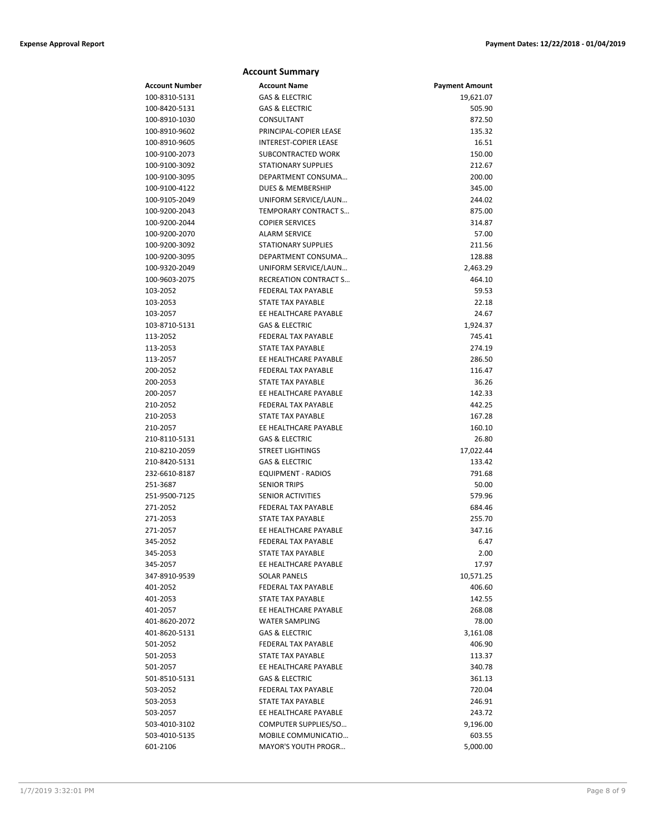|                       | <b>Account Summary</b>       |                       |
|-----------------------|------------------------------|-----------------------|
| <b>Account Number</b> | <b>Account Name</b>          | <b>Payment Amount</b> |
| 100-8310-5131         | <b>GAS &amp; ELECTRIC</b>    | 19,621.07             |
| 100-8420-5131         | <b>GAS &amp; ELECTRIC</b>    | 505.90                |
| 100-8910-1030         | CONSULTANT                   | 872.50                |
| 100-8910-9602         | PRINCIPAL-COPIER LEASE       | 135.32                |
| 100-8910-9605         | INTEREST-COPIER LEASE        | 16.51                 |
| 100-9100-2073         | SUBCONTRACTED WORK           | 150.00                |
| 100-9100-3092         | <b>STATIONARY SUPPLIES</b>   | 212.67                |
| 100-9100-3095         | DEPARTMENT CONSUMA           | 200.00                |
| 100-9100-4122         | <b>DUES &amp; MEMBERSHIP</b> | 345.00                |
| 100-9105-2049         | UNIFORM SERVICE/LAUN         | 244.02                |
| 100-9200-2043         | TEMPORARY CONTRACT S         | 875.00                |
| 100-9200-2044         | <b>COPIER SERVICES</b>       | 314.87                |
| 100-9200-2070         | <b>ALARM SERVICE</b>         | 57.00                 |
| 100-9200-3092         | <b>STATIONARY SUPPLIES</b>   | 211.56                |
| 100-9200-3095         | DEPARTMENT CONSUMA           | 128.88                |
| 100-9320-2049         | UNIFORM SERVICE/LAUN         | 2,463.29              |
| 100-9603-2075         | <b>RECREATION CONTRACT S</b> | 464.10                |
| 103-2052              | FEDERAL TAX PAYABLE          | 59.53                 |
| 103-2053              | <b>STATE TAX PAYABLE</b>     | 22.18                 |
| 103-2057              | EE HEALTHCARE PAYABLE        | 24.67                 |
| 103-8710-5131         | <b>GAS &amp; ELECTRIC</b>    | 1,924.37              |
| 113-2052              | <b>FEDERAL TAX PAYABLE</b>   | 745.41                |
| 113-2053              | STATE TAX PAYABLE            | 274.19                |
| 113-2057              | EE HEALTHCARE PAYABLE        | 286.50                |
| 200-2052              | <b>FEDERAL TAX PAYABLE</b>   | 116.47                |
| 200-2053              | STATE TAX PAYABLE            | 36.26                 |
| 200-2057              | EE HEALTHCARE PAYABLE        | 142.33                |
| 210-2052              | FEDERAL TAX PAYABLE          | 442.25                |
| 210-2053              | STATE TAX PAYABLE            | 167.28                |
| 210-2057              | EE HEALTHCARE PAYABLE        | 160.10                |
| 210-8110-5131         | <b>GAS &amp; ELECTRIC</b>    | 26.80                 |
| 210-8210-2059         | <b>STREET LIGHTINGS</b>      | 17,022.44             |
| 210-8420-5131         | <b>GAS &amp; ELECTRIC</b>    | 133.42                |
| 232-6610-8187         | <b>EQUIPMENT - RADIOS</b>    | 791.68                |
| 251-3687              | <b>SENIOR TRIPS</b>          | 50.00                 |
| 251-9500-7125         | <b>SENIOR ACTIVITIES</b>     | 579.96                |
| 271-2052              | FEDERAL TAX PAYABLE          | 684.46                |
| 271-2053              | <b>STATE TAX PAYABLE</b>     | 255.70                |
| 271-2057              | EE HEALTHCARE PAYABLE        | 347.16                |
| 345-2052              | FEDERAL TAX PAYABLE          | 6.47                  |
| 345-2053              | STATE TAX PAYABLE            | 2.00                  |
| 345-2057              | EE HEALTHCARE PAYABLE        | 17.97                 |
| 347-8910-9539         | <b>SOLAR PANELS</b>          | 10,571.25             |
| 401-2052              | <b>FEDERAL TAX PAYABLE</b>   | 406.60                |
| 401-2053              | STATE TAX PAYABLE            | 142.55                |
| 401-2057              | EE HEALTHCARE PAYABLE        | 268.08                |
| 401-8620-2072         | <b>WATER SAMPLING</b>        | 78.00                 |
| 401-8620-5131         | <b>GAS &amp; ELECTRIC</b>    | 3,161.08              |
| 501-2052              | FEDERAL TAX PAYABLE          | 406.90                |
| 501-2053              | STATE TAX PAYABLE            | 113.37                |
| 501-2057              | EE HEALTHCARE PAYABLE        | 340.78                |
| 501-8510-5131         | GAS & ELECTRIC               | 361.13                |
| 503-2052              | FEDERAL TAX PAYABLE          | 720.04                |
| 503-2053              | STATE TAX PAYABLE            | 246.91                |
| 503-2057              | EE HEALTHCARE PAYABLE        | 243.72                |
| 503-4010-3102         | COMPUTER SUPPLIES/SO         | 9,196.00              |
| 503-4010-5135         | MOBILE COMMUNICATIO          | 603.55                |
| 601-2106              | <b>MAYOR'S YOUTH PROGR</b>   | 5,000.00              |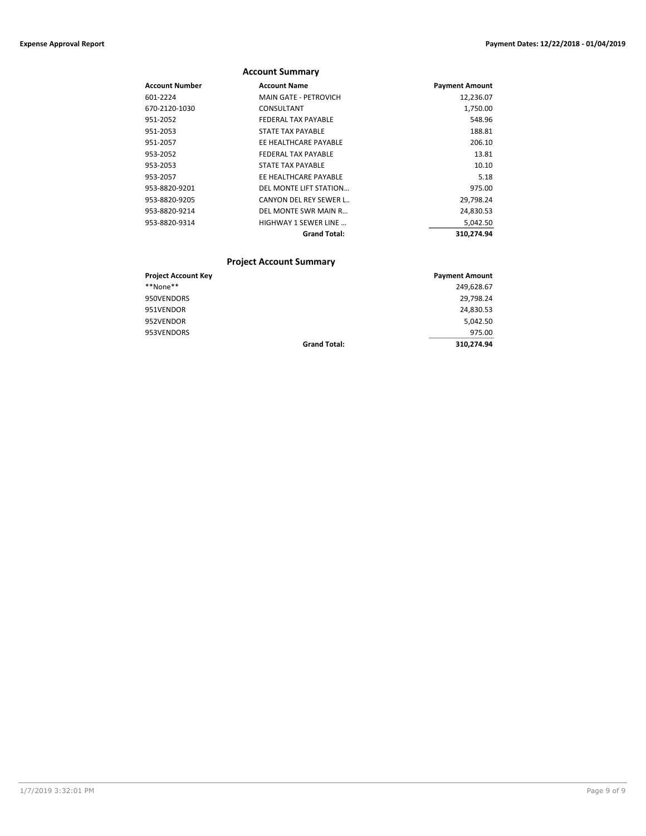|                       | <b>Account Summary</b>       |                       |
|-----------------------|------------------------------|-----------------------|
| <b>Account Number</b> | <b>Account Name</b>          | <b>Payment Amount</b> |
| 601-2224              | <b>MAIN GATE - PETROVICH</b> | 12,236.07             |
| 670-2120-1030         | CONSULTANT                   | 1,750.00              |
| 951-2052              | FEDERAL TAX PAYABLE          | 548.96                |
| 951-2053              | STATE TAX PAYABLE            | 188.81                |
| 951-2057              | EE HEALTHCARE PAYABLE        | 206.10                |
| 953-2052              | FEDERAL TAX PAYABLE          | 13.81                 |
| 953-2053              | STATE TAX PAYABLE            | 10.10                 |
| 953-2057              | EE HEALTHCARE PAYABLE        | 5.18                  |
| 953-8820-9201         | DEL MONTE LIFT STATION       | 975.00                |
| 953-8820-9205         | CANYON DEL REY SEWER L       | 29,798.24             |
| 953-8820-9214         | DEL MONTE SWR MAIN R         | 24,830.53             |
| 953-8820-9314         | HIGHWAY 1 SEWER LINE         | 5,042.50              |
|                       | <b>Grand Total:</b>          | 310,274.94            |

### **Project Account Summary**

| <b>Project Account Key</b> |                     | <b>Payment Amount</b> |
|----------------------------|---------------------|-----------------------|
| **None**                   |                     | 249,628.67            |
| 950VENDORS                 |                     | 29,798.24             |
| 951VENDOR                  |                     | 24,830.53             |
| 952VENDOR                  |                     | 5.042.50              |
| 953VENDORS                 |                     | 975.00                |
|                            | <b>Grand Total:</b> | 310.274.94            |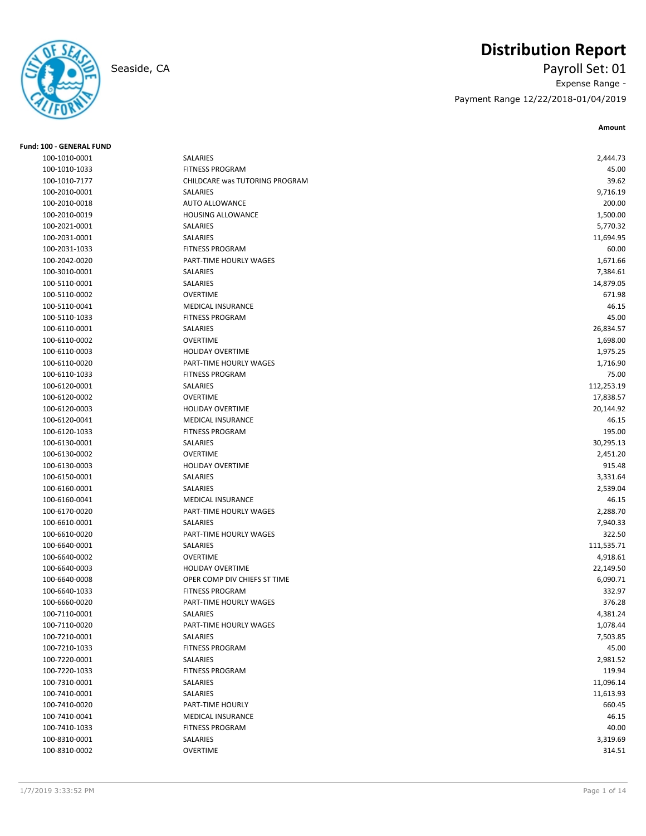## **Distribution Report**



## Seaside, CA Payroll Set: 01 Expense Range - Payment Range 12/22/2018-01/04/2019

**Amount**

| <b>Fund: 100 - GENERAL FUND</b> |                                           |            |
|---------------------------------|-------------------------------------------|------------|
| 100-1010-0001                   | SALARIES                                  | 2,444.73   |
| 100-1010-1033                   | <b>FITNESS PROGRAM</b>                    | 45.00      |
| 100-1010-7177                   | CHILDCARE was TUTORING PROGRAM            | 39.62      |
| 100-2010-0001                   | SALARIES                                  | 9,716.19   |
| 100-2010-0018                   | <b>AUTO ALLOWANCE</b>                     | 200.00     |
| 100-2010-0019                   | <b>HOUSING ALLOWANCE</b>                  | 1,500.00   |
| 100-2021-0001                   | SALARIES                                  | 5,770.32   |
| 100-2031-0001                   | SALARIES                                  | 11,694.95  |
| 100-2031-1033                   | <b>FITNESS PROGRAM</b>                    | 60.00      |
| 100-2042-0020                   | PART-TIME HOURLY WAGES                    | 1,671.66   |
| 100-3010-0001                   | <b>SALARIES</b>                           | 7,384.61   |
| 100-5110-0001                   | SALARIES                                  | 14,879.05  |
| 100-5110-0002                   | <b>OVERTIME</b>                           | 671.98     |
| 100-5110-0041                   | <b>MEDICAL INSURANCE</b>                  | 46.15      |
| 100-5110-1033                   | <b>FITNESS PROGRAM</b>                    | 45.00      |
| 100-6110-0001                   | SALARIES                                  | 26,834.57  |
| 100-6110-0002                   | <b>OVERTIME</b>                           | 1,698.00   |
| 100-6110-0003                   | <b>HOLIDAY OVERTIME</b>                   | 1,975.25   |
| 100-6110-0020                   | PART-TIME HOURLY WAGES                    | 1,716.90   |
| 100-6110-1033                   | <b>FITNESS PROGRAM</b>                    | 75.00      |
| 100-6120-0001                   | SALARIES                                  | 112,253.19 |
| 100-6120-0002                   | <b>OVERTIME</b>                           | 17,838.57  |
| 100-6120-0003                   | <b>HOLIDAY OVERTIME</b>                   | 20,144.92  |
| 100-6120-0041                   | MEDICAL INSURANCE                         | 46.15      |
| 100-6120-1033                   | <b>FITNESS PROGRAM</b>                    | 195.00     |
| 100-6130-0001                   | SALARIES                                  | 30,295.13  |
| 100-6130-0002                   | <b>OVERTIME</b>                           | 2,451.20   |
| 100-6130-0003                   | <b>HOLIDAY OVERTIME</b>                   | 915.48     |
| 100-6150-0001                   | SALARIES                                  | 3,331.64   |
| 100-6160-0001                   | SALARIES                                  | 2,539.04   |
| 100-6160-0041                   | <b>MEDICAL INSURANCE</b>                  | 46.15      |
| 100-6170-0020                   | PART-TIME HOURLY WAGES                    | 2,288.70   |
| 100-6610-0001                   | <b>SALARIES</b>                           | 7,940.33   |
| 100-6610-0020                   | PART-TIME HOURLY WAGES                    | 322.50     |
| 100-6640-0001                   | SALARIES                                  | 111,535.71 |
| 100-6640-0002                   | <b>OVERTIME</b>                           | 4,918.61   |
| 100-6640-0003                   | <b>HOLIDAY OVERTIME</b>                   | 22,149.50  |
| 100-6640-0008                   | OPER COMP DIV CHIEFS ST TIME              | 6,090.71   |
| 100-6640-1033                   | <b>FITNESS PROGRAM</b>                    | 332.97     |
| 100-6660-0020                   | PART-TIME HOURLY WAGES                    | 376.28     |
| 100-7110-0001                   | SALARIES                                  | 4,381.24   |
| 100-7110-0020                   | PART-TIME HOURLY WAGES                    |            |
|                                 | SALARIES                                  | 1,078.44   |
| 100-7210-0001<br>100-7210-1033  |                                           | 7,503.85   |
|                                 | <b>FITNESS PROGRAM</b><br><b>SALARIES</b> | 45.00      |
| 100-7220-0001                   |                                           | 2,981.52   |
| 100-7220-1033                   | <b>FITNESS PROGRAM</b>                    | 119.94     |
| 100-7310-0001                   | SALARIES                                  | 11,096.14  |
| 100-7410-0001                   | SALARIES                                  | 11,613.93  |
| 100-7410-0020                   | PART-TIME HOURLY                          | 660.45     |
| 100-7410-0041                   | MEDICAL INSURANCE                         | 46.15      |
| 100-7410-1033                   | <b>FITNESS PROGRAM</b>                    | 40.00      |
| 100-8310-0001                   | SALARIES                                  | 3,319.69   |
| 100-8310-0002                   | OVERTIME                                  | 314.51     |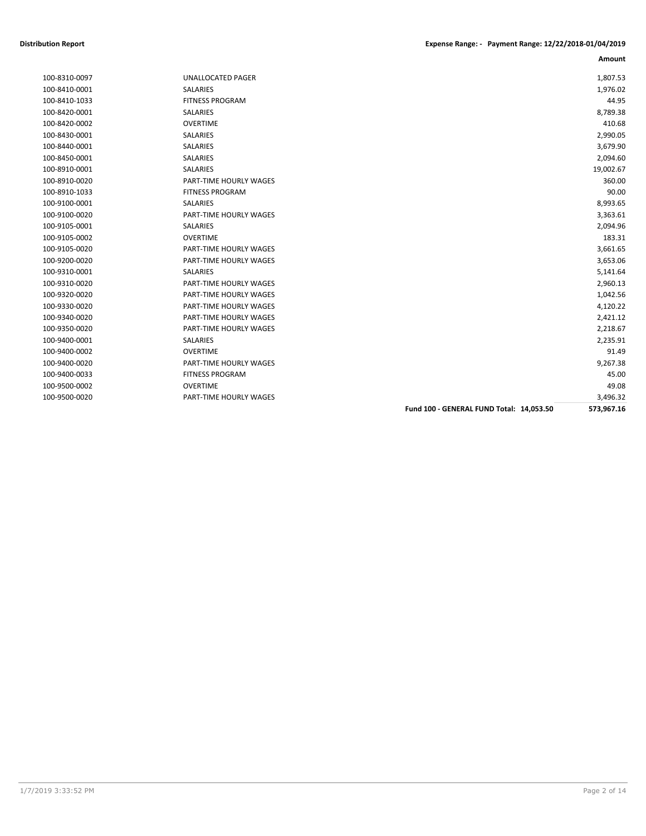|               |                        |                                          | Amount     |
|---------------|------------------------|------------------------------------------|------------|
| 100-8310-0097 | UNALLOCATED PAGER      |                                          | 1,807.53   |
| 100-8410-0001 | <b>SALARIES</b>        |                                          | 1,976.02   |
| 100-8410-1033 | <b>FITNESS PROGRAM</b> |                                          | 44.95      |
| 100-8420-0001 | SALARIES               |                                          | 8,789.38   |
| 100-8420-0002 | <b>OVERTIME</b>        |                                          | 410.68     |
| 100-8430-0001 | SALARIES               |                                          | 2,990.05   |
| 100-8440-0001 | <b>SALARIES</b>        |                                          | 3,679.90   |
| 100-8450-0001 | <b>SALARIES</b>        |                                          | 2,094.60   |
| 100-8910-0001 | <b>SALARIES</b>        |                                          | 19,002.67  |
| 100-8910-0020 | PART-TIME HOURLY WAGES |                                          | 360.00     |
| 100-8910-1033 | <b>FITNESS PROGRAM</b> |                                          | 90.00      |
| 100-9100-0001 | <b>SALARIES</b>        |                                          | 8,993.65   |
| 100-9100-0020 | PART-TIME HOURLY WAGES |                                          | 3,363.61   |
| 100-9105-0001 | SALARIES               |                                          | 2,094.96   |
| 100-9105-0002 | <b>OVERTIME</b>        |                                          | 183.31     |
| 100-9105-0020 | PART-TIME HOURLY WAGES |                                          | 3,661.65   |
| 100-9200-0020 | PART-TIME HOURLY WAGES |                                          | 3,653.06   |
| 100-9310-0001 | SALARIES               |                                          | 5,141.64   |
| 100-9310-0020 | PART-TIME HOURLY WAGES |                                          | 2,960.13   |
| 100-9320-0020 | PART-TIME HOURLY WAGES |                                          | 1,042.56   |
| 100-9330-0020 | PART-TIME HOURLY WAGES |                                          | 4,120.22   |
| 100-9340-0020 | PART-TIME HOURLY WAGES |                                          | 2,421.12   |
| 100-9350-0020 | PART-TIME HOURLY WAGES |                                          | 2,218.67   |
| 100-9400-0001 | SALARIES               |                                          | 2,235.91   |
| 100-9400-0002 | <b>OVERTIME</b>        |                                          | 91.49      |
| 100-9400-0020 | PART-TIME HOURLY WAGES |                                          | 9,267.38   |
| 100-9400-0033 | <b>FITNESS PROGRAM</b> |                                          | 45.00      |
| 100-9500-0002 | <b>OVERTIME</b>        |                                          | 49.08      |
| 100-9500-0020 | PART-TIME HOURLY WAGES |                                          | 3,496.32   |
|               |                        | Fund 100 - GENERAL FUND Total: 14,053.50 | 573,967.16 |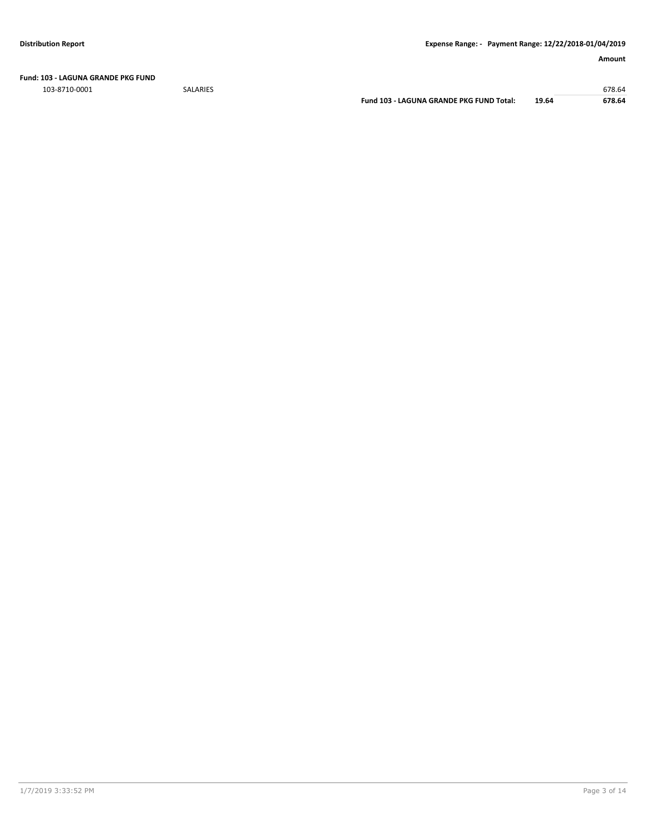**Fund: 103 - LAGUNA GRANDE PKG FUND**

103-8710-0001 SALARIES 678.64

**Fund 103 - LAGUNA GRANDE PKG FUND Total: 19.64 678.64**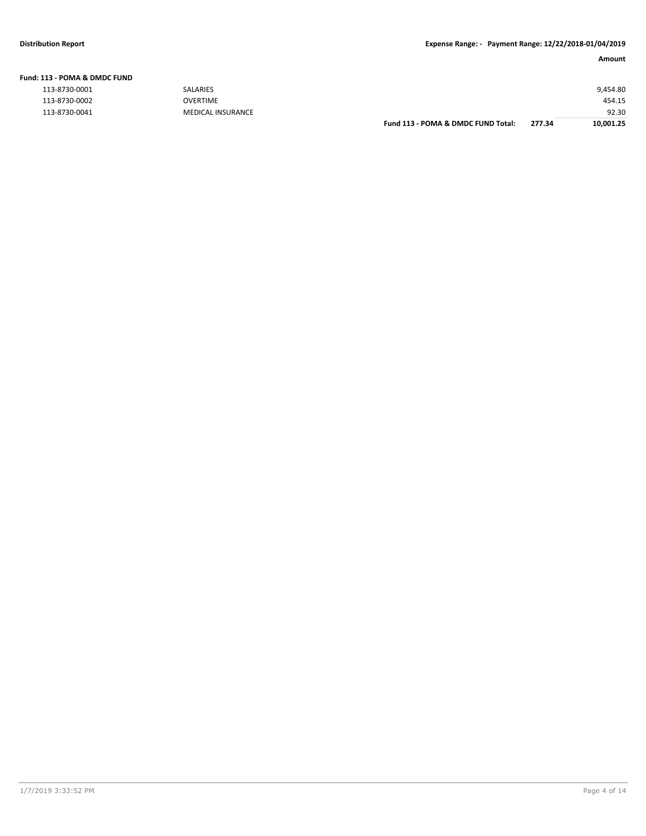| Fund: 113 - POMA & DMDC FUND |    |
|------------------------------|----|
| 113-8730-0001                | SA |

| 113-8730-0001 | <b>SALARIES</b>          |                                    |        | 9,454.80  |
|---------------|--------------------------|------------------------------------|--------|-----------|
| 113-8730-0002 | OVERTIME                 |                                    |        | 454.15    |
| 113-8730-0041 | <b>MEDICAL INSURANCE</b> |                                    |        | 92.30     |
|               |                          | Fund 113 - POMA & DMDC FUND Total: | 277.34 | 10,001.25 |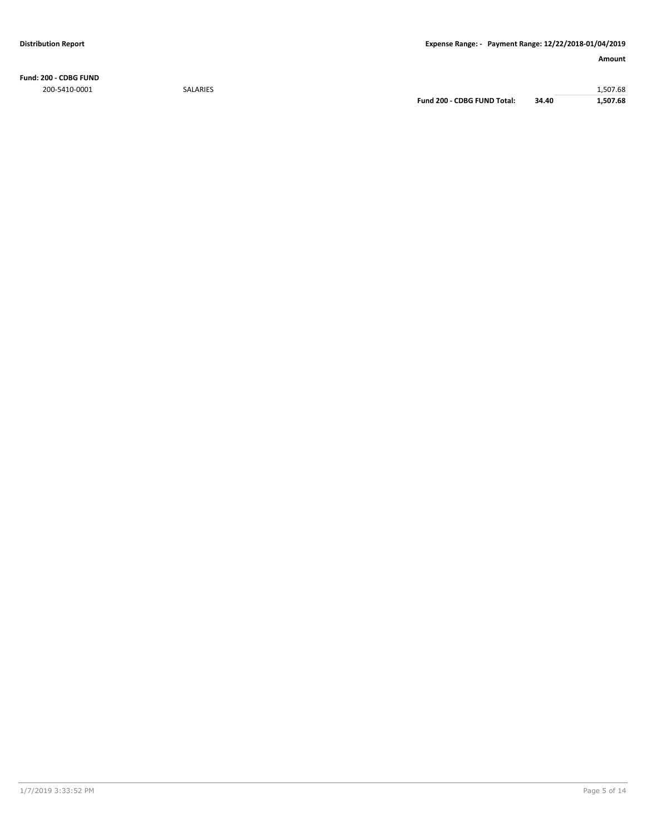**Fund: 200 - CDBG FUND** 200-5410-0001 SALARIES 1,507.68

**Fund 200 - CDBG FUND Total: 34.40 1,507.68**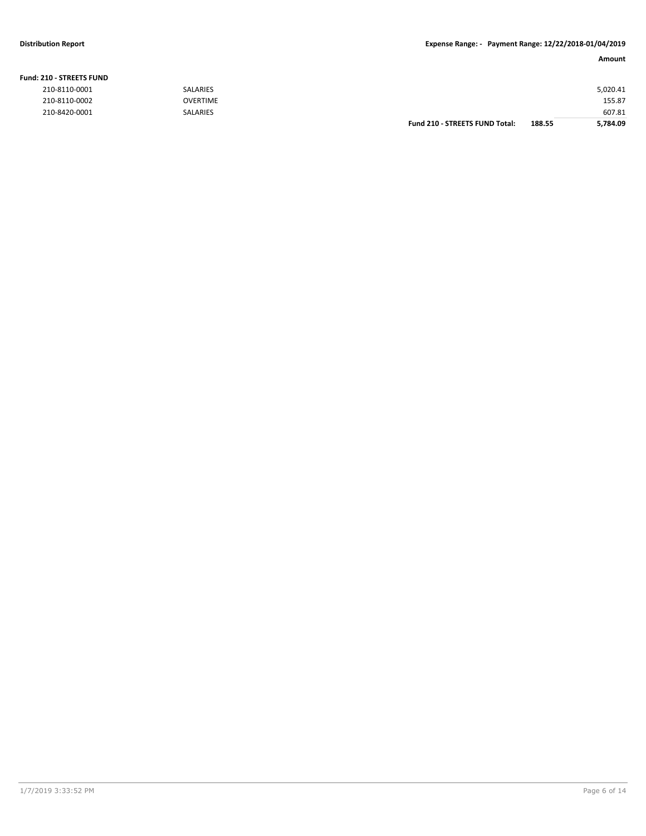#### **Fund: 210 - STREETS FUND**

| 210-8110-0001 | <b>SALARIES</b> |                                       |        | 5,020.41 |
|---------------|-----------------|---------------------------------------|--------|----------|
| 210-8110-0002 | <b>OVERTIME</b> |                                       |        | 155.87   |
| 210-8420-0001 | <b>SALARIES</b> |                                       |        | 607.81   |
|               |                 | <b>Fund 210 - STREETS FUND Total:</b> | 188.55 | 5,784.09 |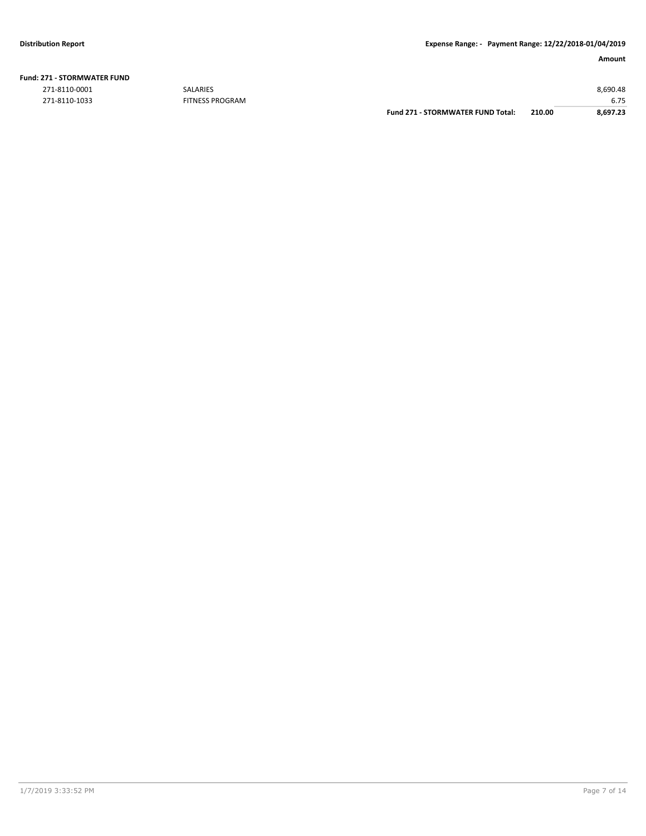| <b>Fund: 271 - STORMWATER FUND</b> |  |
|------------------------------------|--|
|                                    |  |

271-8110-1033 FITNESS PROGRAM

|               |                        | <b>Fund 271 - STORMWATER FUND Total:</b> | 210.00 | 8.697.23 |
|---------------|------------------------|------------------------------------------|--------|----------|
| 271-8110-1033 | <b>FITNESS PROGRAM</b> |                                          |        | 6.75     |
| 271-8110-0001 | <b>SALARIES</b>        |                                          |        | 8.690.48 |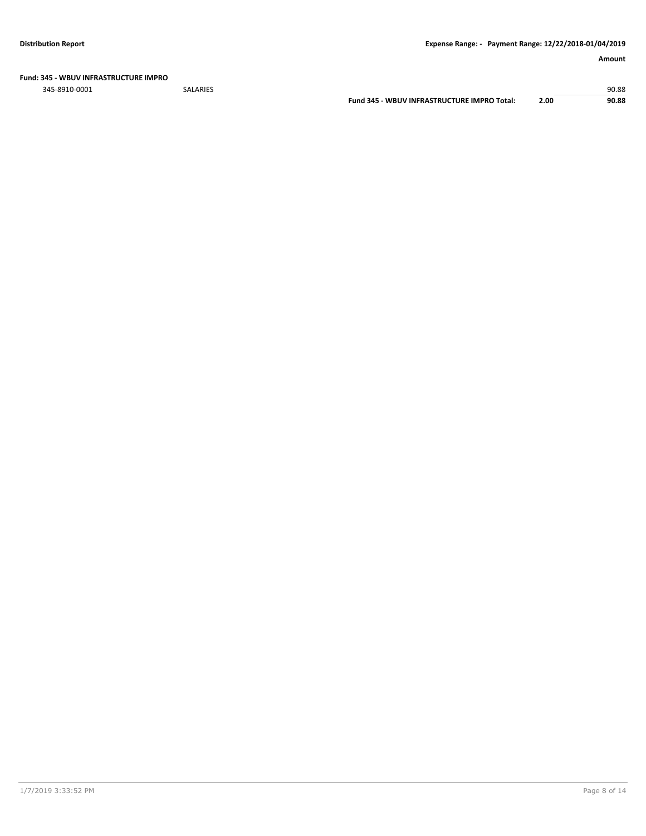**Fund: 345 - WBUV INFRASTRUCTURE IMPRO**

345-8910-0001 SALARIES 90.88

**Fund 345 - WBUV INFRASTRUCTURE IMPRO Total: 2.00 90.88**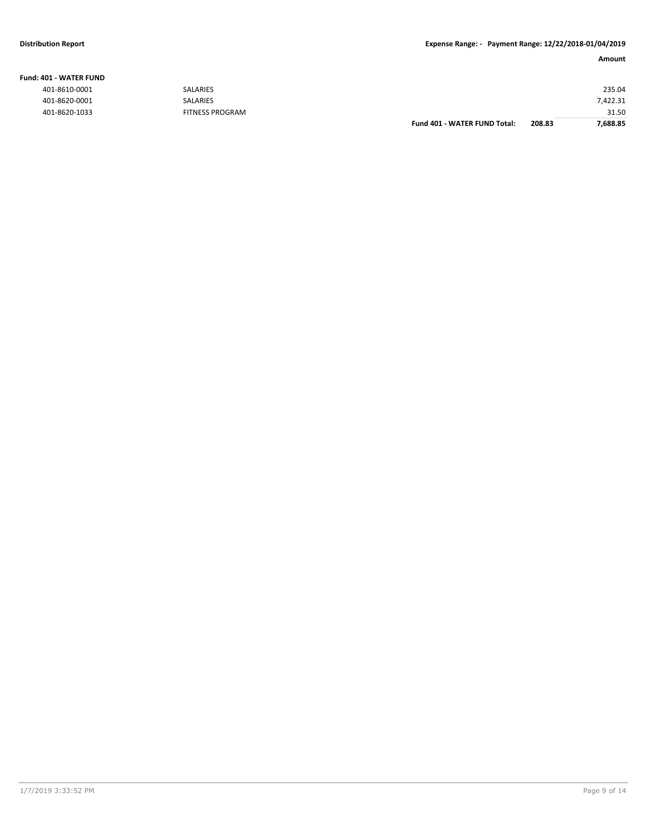#### **Fund: 401 - WATER FUND**

|               |                        | Fund 401 - WATER FUND Total: | 208.83 | 7,688.85 |
|---------------|------------------------|------------------------------|--------|----------|
| 401-8620-1033 | <b>FITNESS PROGRAM</b> |                              |        | 31.50    |
| 401-8620-0001 | <b>SALARIES</b>        |                              |        | 7.422.31 |
| 401-8610-0001 | <b>SALARIES</b>        |                              |        | 235.04   |
|               |                        |                              |        |          |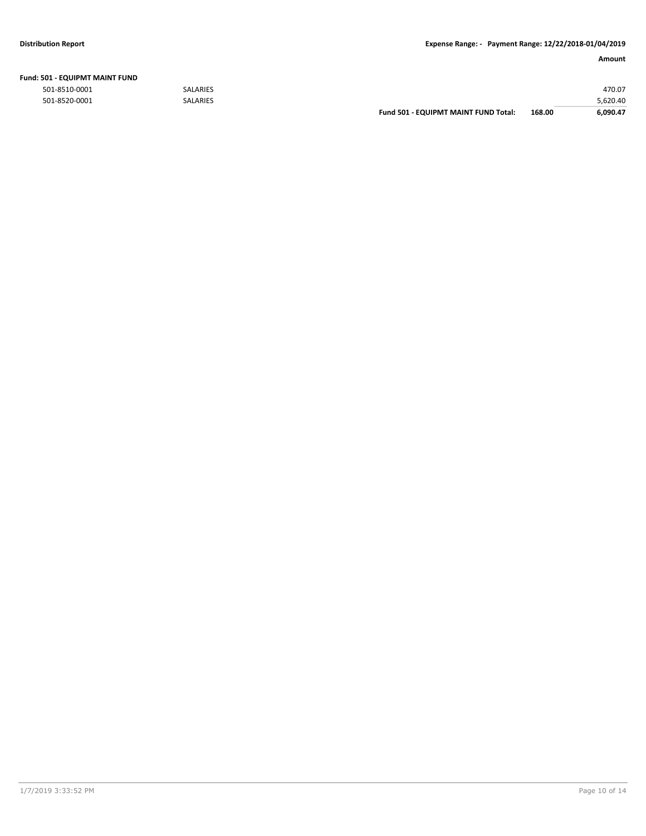**Fund:** 

#### **Amount**

| 501 - EQUIPMT MAINT FUND |                 |                 |
|--------------------------|-----------------|-----------------|
| 501-8510-0001            | <b>SALARIES</b> | 470.07          |
| E01 REJO 0001            | <b>CALADIEC</b> | <b>E 670 AO</b> |

501-8520-0001 SALARIES 5,620.40 **Fund 501 - EQUIPMT MAINT FUND Total: 168.00 6,090.47**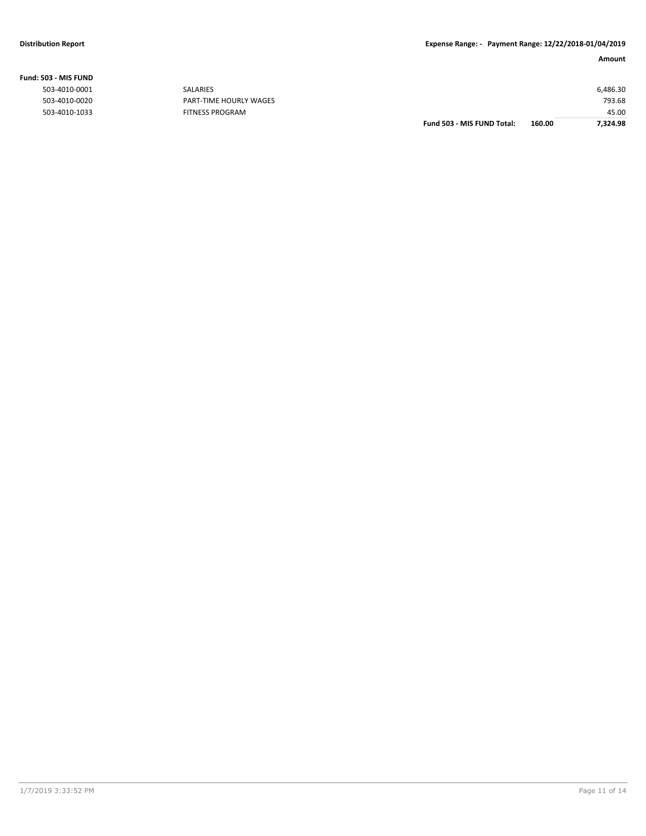|                |                        | Fund 503 - MIS FUND Total: | 160.00 | 7.324.98 |
|----------------|------------------------|----------------------------|--------|----------|
| 503-4010-1033  | <b>FITNESS PROGRAM</b> |                            |        | 45.00    |
| 503-4010-0020  | PART-TIME HOURLY WAGES |                            |        | 793.68   |
| 503-4010-0001  | <b>SALARIES</b>        |                            |        | 6,486.30 |
| ,03 - MIS FUND |                        |                            |        |          |

**Fund: 503 - MIS FUND**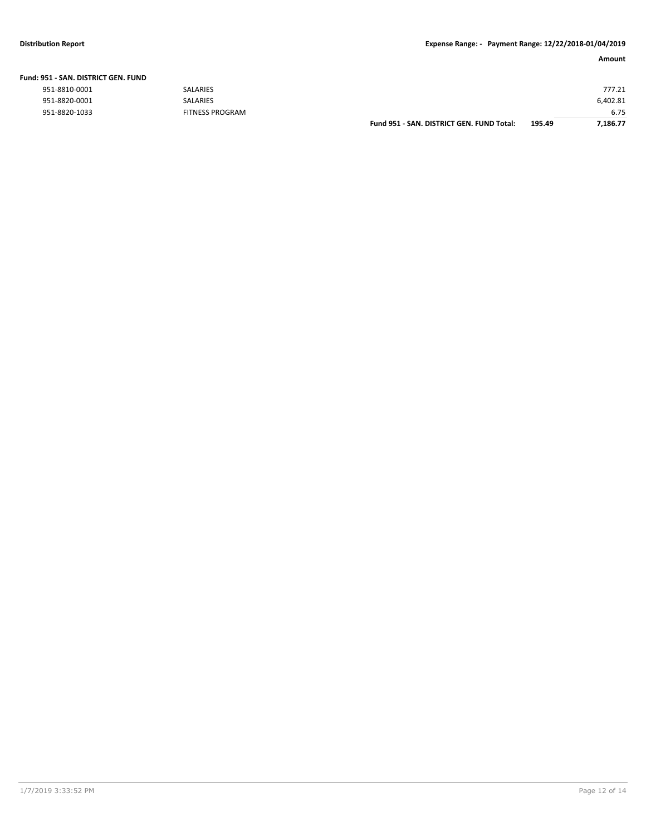|  |  |  | Fund: 951 - SAN. DISTRICT GEN. FUND |  |
|--|--|--|-------------------------------------|--|
|--|--|--|-------------------------------------|--|

| 951-8810-0001 |  |
|---------------|--|
| 951-8820-0001 |  |
| 951-8820-1033 |  |

| 951-8820-0001 | SALARIES               |                                           |        | 6,402.81 |
|---------------|------------------------|-------------------------------------------|--------|----------|
| 951-8820-1033 | <b>FITNESS PROGRAM</b> |                                           |        | 6.75     |
|               |                        | Fund 951 - SAN, DISTRICT GEN, FUND Total: | 195.49 | 7,186.77 |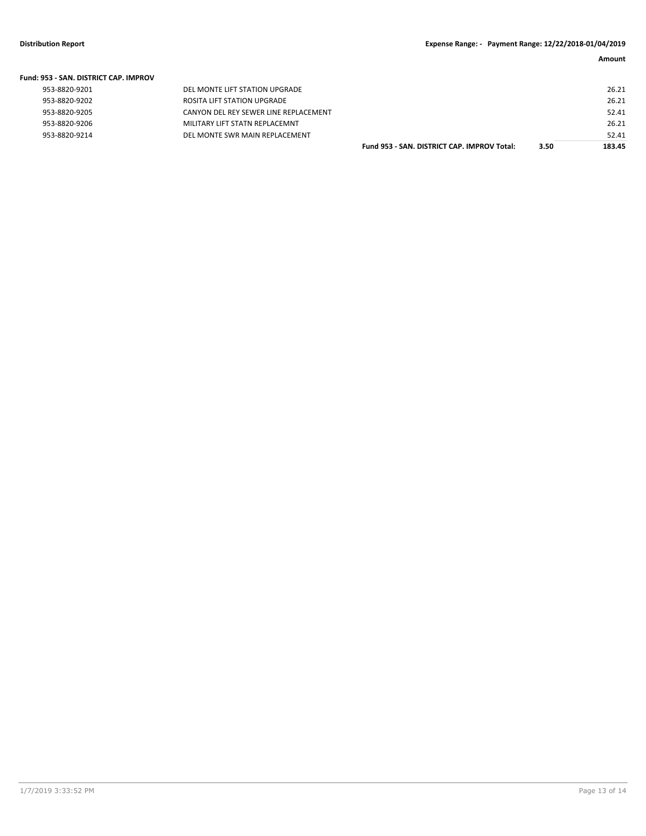| <b>Fund: 953 - SAN, DISTRICT CAP, IMPROV</b> |                                       |                                             |      |        |
|----------------------------------------------|---------------------------------------|---------------------------------------------|------|--------|
| 953-8820-9201                                | DEL MONTE LIFT STATION UPGRADE        |                                             |      | 26.21  |
| 953-8820-9202                                | ROSITA LIFT STATION UPGRADE           |                                             |      | 26.21  |
| 953-8820-9205                                | CANYON DEL REY SEWER LINE REPLACEMENT |                                             |      | 52.41  |
| 953-8820-9206                                | MILITARY LIFT STATN REPLACEMNT        |                                             |      | 26.21  |
| 953-8820-9214                                | DEL MONTE SWR MAIN REPLACEMENT        |                                             |      | 52.41  |
|                                              |                                       | Fund 953 - SAN, DISTRICT CAP, IMPROV Total: | 3.50 | 183.45 |